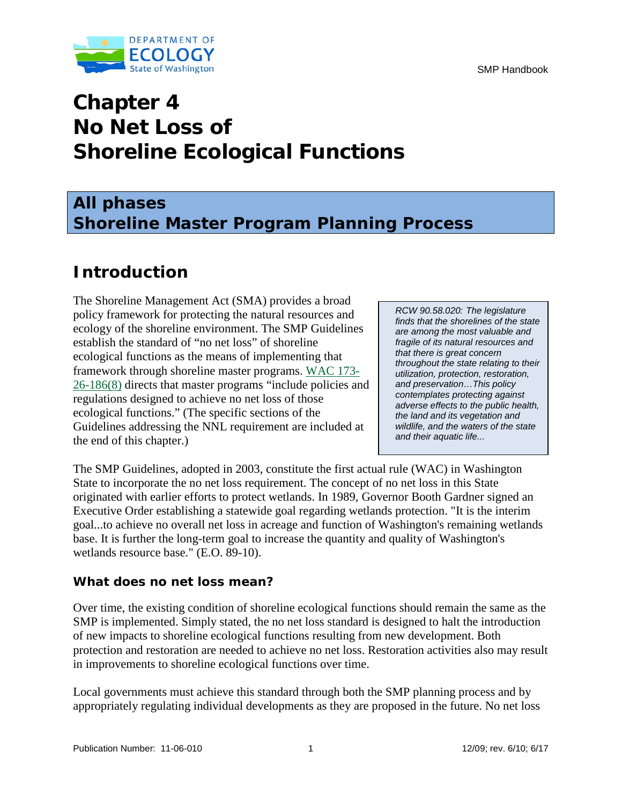



# **Chapter 4 No Net Loss of Shoreline Ecological Functions**

# **All phases Shoreline Master Program Planning Process**

# **Introduction**

The Shoreline Management Act (SMA) provides a broad policy framework for protecting the natural resources and ecology of the shoreline environment. The SMP Guidelines establish the standard of "no net loss" of shoreline ecological functions as the means of implementing that framework through shoreline master programs. [WAC 173-](http://apps.leg.wa.gov/WAC/default.aspx?cite=173-26-186) [26-186\(8\)](http://apps.leg.wa.gov/WAC/default.aspx?cite=173-26-186) directs that master programs "include policies and regulations designed to achieve no net loss of those ecological functions." (The specific sections of the Guidelines addressing the NNL requirement are included at the end of this chapter.)

*RCW 90.58.020: The legislature finds that the shorelines of the state are among the most valuable and fragile of its natural resources and that there is great concern throughout the state relating to their utilization, protection, restoration, and preservation…This policy contemplates protecting against adverse effects to the public health, the land and its vegetation and wildlife, and the waters of the state and their aquatic life...*

The SMP Guidelines, adopted in 2003, constitute the first actual rule (WAC) in Washington State to incorporate the no net loss requirement. The concept of no net loss in this State originated with earlier efforts to protect wetlands. In 1989, Governor Booth Gardner signed an Executive Order establishing a statewide goal regarding wetlands protection. "It is the interim goal...to achieve no overall net loss in acreage and function of Washington's remaining wetlands base. It is further the long-term goal to increase the quantity and quality of Washington's wetlands resource base." (E.O. 89-10).

## **What does no net loss mean?**

Over time, the existing condition of shoreline ecological functions should remain the same as the SMP is implemented. Simply stated, the no net loss standard is designed to halt the introduction of new impacts to shoreline ecological functions resulting from new development. Both protection and restoration are needed to achieve no net loss. Restoration activities also may result in improvements to shoreline ecological functions over time.

Local governments must achieve this standard through both the SMP planning process and by appropriately regulating individual developments as they are proposed in the future. No net loss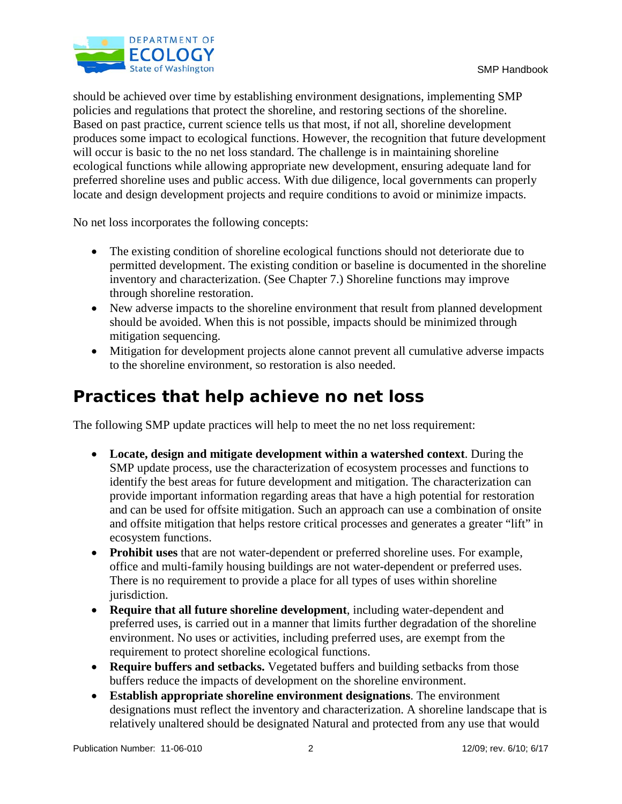

should be achieved over time by establishing environment designations, implementing SMP policies and regulations that protect the shoreline, and restoring sections of the shoreline. Based on past practice, current science tells us that most, if not all, shoreline development produces some impact to ecological functions. However, the recognition that future development will occur is basic to the no net loss standard. The challenge is in maintaining shoreline ecological functions while allowing appropriate new development, ensuring adequate land for preferred shoreline uses and public access. With due diligence, local governments can properly locate and design development projects and require conditions to avoid or minimize impacts.

No net loss incorporates the following concepts:

- The existing condition of shoreline ecological functions should not deteriorate due to permitted development. The existing condition or baseline is documented in the shoreline inventory and characterization. (See Chapter 7.) Shoreline functions may improve through shoreline restoration.
- New adverse impacts to the shoreline environment that result from planned development should be avoided. When this is not possible, impacts should be minimized through mitigation sequencing.
- Mitigation for development projects alone cannot prevent all cumulative adverse impacts to the shoreline environment, so restoration is also needed.

# **Practices that help achieve no net loss**

The following SMP update practices will help to meet the no net loss requirement:

- **Locate, design and mitigate development within a watershed context**. During the SMP update process, use the characterization of ecosystem processes and functions to identify the best areas for future development and mitigation. The characterization can provide important information regarding areas that have a high potential for restoration and can be used for offsite mitigation. Such an approach can use a combination of onsite and offsite mitigation that helps restore critical processes and generates a greater "lift" in ecosystem functions.
- **Prohibit uses** that are not water-dependent or preferred shoreline uses. For example, office and multi-family housing buildings are not water-dependent or preferred uses. There is no requirement to provide a place for all types of uses within shoreline jurisdiction.
- **Require that all future shoreline development**, including water-dependent and preferred uses, is carried out in a manner that limits further degradation of the shoreline environment. No uses or activities, including preferred uses, are exempt from the requirement to protect shoreline ecological functions.
- **Require buffers and setbacks.** Vegetated buffers and building setbacks from those buffers reduce the impacts of development on the shoreline environment.
- **Establish appropriate shoreline environment designations**. The environment designations must reflect the inventory and characterization. A shoreline landscape that is relatively unaltered should be designated Natural and protected from any use that would

Publication Number: 11-06-010 2 12/09; rev. 6/10; 6/17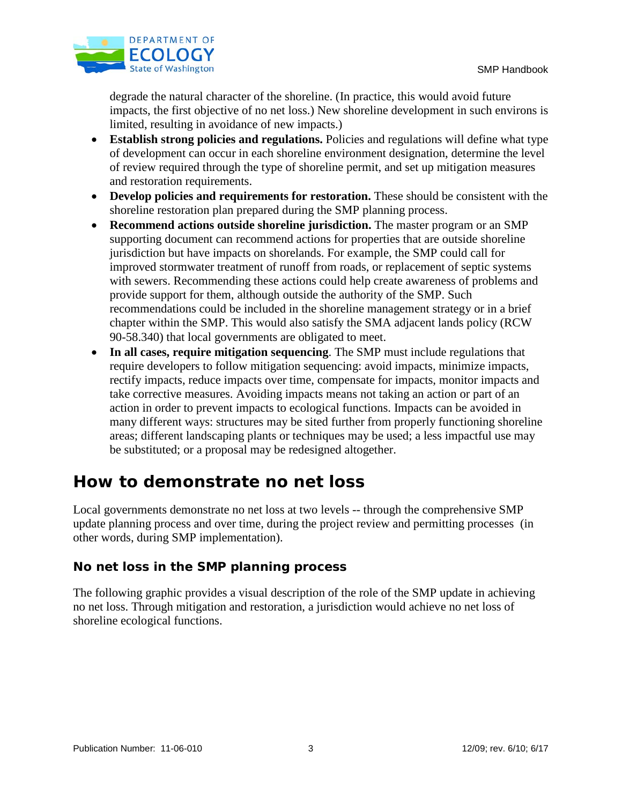

degrade the natural character of the shoreline. (In practice, this would avoid future impacts, the first objective of no net loss.) New shoreline development in such environs is limited, resulting in avoidance of new impacts.)

- **Establish strong policies and regulations.** Policies and regulations will define what type of development can occur in each shoreline environment designation, determine the level of review required through the type of shoreline permit, and set up mitigation measures and restoration requirements.
- **Develop policies and requirements for restoration.** These should be consistent with the shoreline restoration plan prepared during the SMP planning process.
- **Recommend actions outside shoreline jurisdiction.** The master program or an SMP supporting document can recommend actions for properties that are outside shoreline jurisdiction but have impacts on shorelands. For example, the SMP could call for improved stormwater treatment of runoff from roads, or replacement of septic systems with sewers. Recommending these actions could help create awareness of problems and provide support for them, although outside the authority of the SMP. Such recommendations could be included in the shoreline management strategy or in a brief chapter within the SMP. This would also satisfy the SMA adjacent lands policy (RCW 90-58.340) that local governments are obligated to meet.
- **In all cases, require mitigation sequencing**. The SMP must include regulations that require developers to follow mitigation sequencing: avoid impacts, minimize impacts, rectify impacts, reduce impacts over time, compensate for impacts, monitor impacts and take corrective measures. Avoiding impacts means not taking an action or part of an action in order to prevent impacts to ecological functions. Impacts can be avoided in many different ways: structures may be sited further from properly functioning shoreline areas; different landscaping plants or techniques may be used; a less impactful use may be substituted; or a proposal may be redesigned altogether.

# **How to demonstrate no net loss**

Local governments demonstrate no net loss at two levels -- through the comprehensive SMP update planning process and over time, during the project review and permitting processes (in other words, during SMP implementation).

## **No net loss in the SMP planning process**

The following graphic provides a visual description of the role of the SMP update in achieving no net loss. Through mitigation and restoration, a jurisdiction would achieve no net loss of shoreline ecological functions.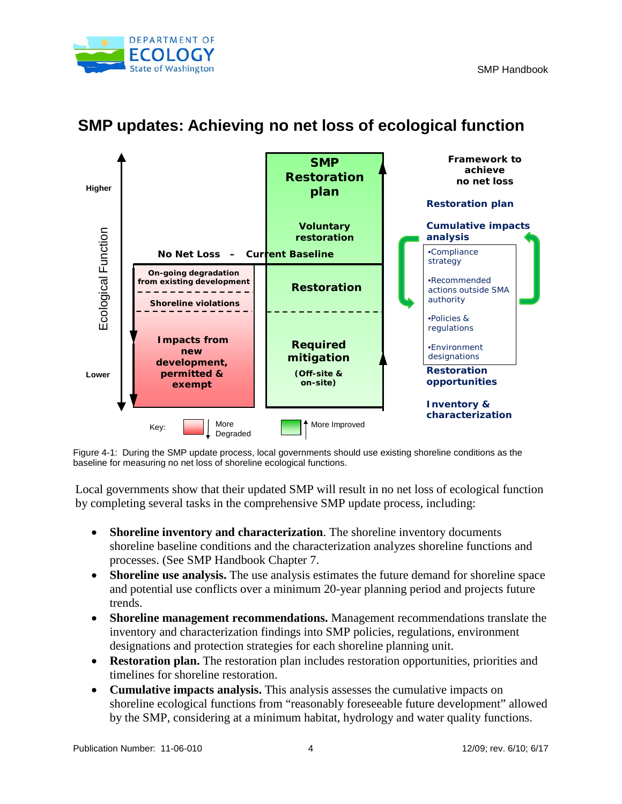



## **SMP updates: Achieving no net loss of ecological function**

Figure 4-1: During the SMP update process, local governments should use existing shoreline conditions as the baseline for measuring no net loss of shoreline ecological functions.

Local governments show that their updated SMP will result in no net loss of ecological function by completing several tasks in the comprehensive SMP update process, including:

- **Shoreline inventory and characterization**. The shoreline inventory documents shoreline baseline conditions and the characterization analyzes shoreline functions and processes. (See SMP Handbook Chapter 7.
- **Shoreline use analysis.** The use analysis estimates the future demand for shoreline space and potential use conflicts over a minimum 20-year planning period and projects future trends.
- **Shoreline management recommendations.** Management recommendations translate the inventory and characterization findings into SMP policies, regulations, environment designations and protection strategies for each shoreline planning unit.
- **Restoration plan.** The restoration plan includes restoration opportunities, priorities and timelines for shoreline restoration.
- **Cumulative impacts analysis.** This analysis assesses the cumulative impacts on shoreline ecological functions from "reasonably foreseeable future development" allowed by the SMP, considering at a minimum habitat, hydrology and water quality functions.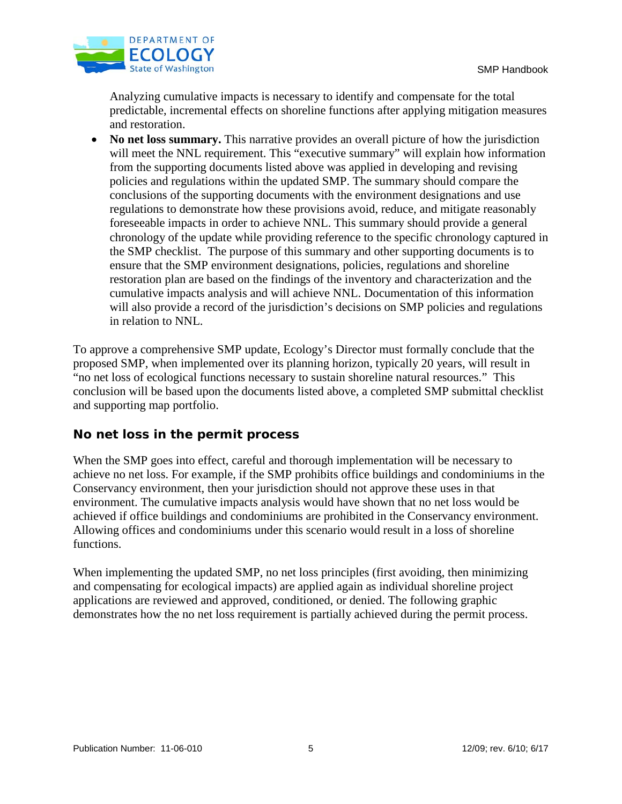

Analyzing cumulative impacts is necessary to identify and compensate for the total predictable, incremental effects on shoreline functions after applying mitigation measures and restoration.

• **No net loss summary.** This narrative provides an overall picture of how the jurisdiction will meet the NNL requirement. This "executive summary" will explain how information from the supporting documents listed above was applied in developing and revising policies and regulations within the updated SMP. The summary should compare the conclusions of the supporting documents with the environment designations and use regulations to demonstrate how these provisions avoid, reduce, and mitigate reasonably foreseeable impacts in order to achieve NNL. This summary should provide a general chronology of the update while providing reference to the specific chronology captured in the SMP checklist. The purpose of this summary and other supporting documents is to ensure that the SMP environment designations, policies, regulations and shoreline restoration plan are based on the findings of the inventory and characterization and the cumulative impacts analysis and will achieve NNL. Documentation of this information will also provide a record of the jurisdiction's decisions on SMP policies and regulations in relation to NNL.

To approve a comprehensive SMP update, Ecology's Director must formally conclude that the proposed SMP, when implemented over its planning horizon, typically 20 years, will result in "no net loss of ecological functions necessary to sustain shoreline natural resources." This conclusion will be based upon the documents listed above, a completed SMP submittal checklist and supporting map portfolio.

## **No net loss in the permit process**

When the SMP goes into effect, careful and thorough implementation will be necessary to achieve no net loss. For example, if the SMP prohibits office buildings and condominiums in the Conservancy environment, then your jurisdiction should not approve these uses in that environment. The cumulative impacts analysis would have shown that no net loss would be achieved if office buildings and condominiums are prohibited in the Conservancy environment. Allowing offices and condominiums under this scenario would result in a loss of shoreline functions.

When implementing the updated SMP, no net loss principles (first avoiding, then minimizing and compensating for ecological impacts) are applied again as individual shoreline project applications are reviewed and approved, conditioned, or denied. The following graphic demonstrates how the no net loss requirement is partially achieved during the permit process.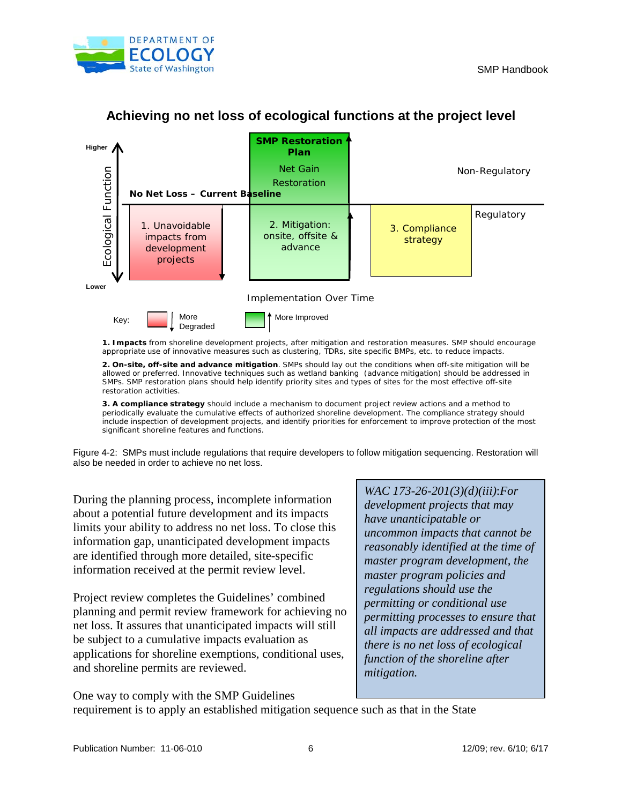



## **Achieving no net loss of ecological functions at the project level**

**1. Impacts** from shoreline development projects, after mitigation and restoration measures. SMP should encourage appropriate use of innovative measures such as clustering, TDRs, site specific BMPs, etc. to reduce impacts.

**2. On-site, off-site and advance mitigation**. SMPs should lay out the conditions when off-site mitigation will be allowed or preferred. Innovative techniques such as wetland banking (advance mitigation) should be addressed in SMPs. SMP restoration plans should help identify priority sites and types of sites for the most effective off-site restoration activities.

**3. A compliance strategy** should include a mechanism to document project review actions and a method to periodically evaluate the cumulative effects of authorized shoreline development. The compliance strategy should include inspection of development projects, and identify priorities for enforcement to improve protection of the most significant shoreline features and functions.

Figure 4-2: SMPs must include regulations that require developers to follow mitigation sequencing. Restoration will also be needed in order to achieve no net loss.

During the planning process, incomplete information about a potential future development and its impacts limits your ability to address no net loss. To close this information gap, unanticipated development impacts are identified through more detailed, site-specific information received at the permit review level.

Project review completes the Guidelines' combined planning and permit review framework for achieving no net loss. It assures that unanticipated impacts will still be subject to a cumulative impacts evaluation as applications for shoreline exemptions, conditional uses, and shoreline permits are reviewed.

WAC 173-26-201(3)(d)(iii):For development projects that may have unanticipatable or uncommon impacts that cannot be reasonably identified at the time of master program development, the master program policies and regulations show use the permitting or conditional use permitting processes to ensure that all impacts are addressed and that there is no net loss of ecological function of he shoreline after mitigation.

One way to comply with the SMP Guidelines

requirement is to apply an established mitigation sequence such as that in the State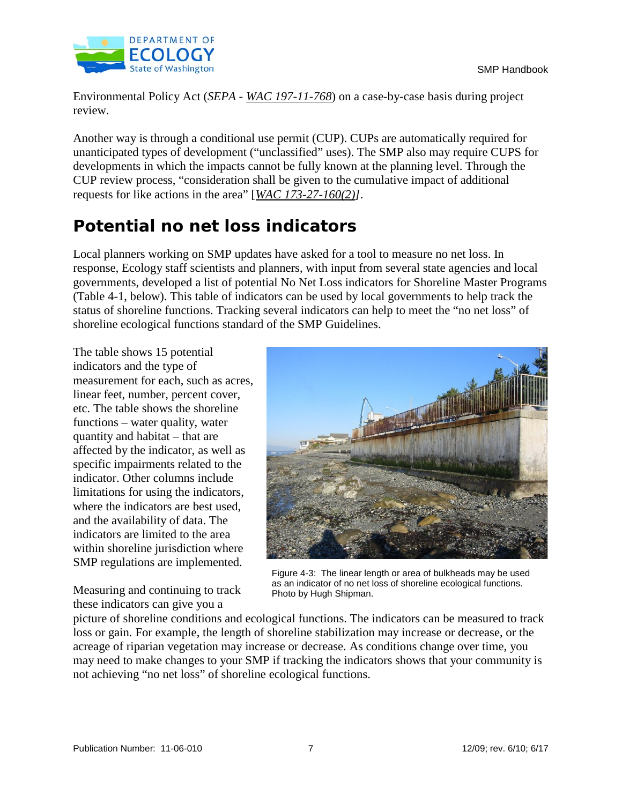

Environmental Policy Act (SEPA -WAC 19711-768) on a case-by-case basis during project review.

Another way is through a conditional use permit (CUP). CUPs are automatically required for unanticipated types of development ("unclassified" uses). The SMP also may require CUPS for developments in which the impacts cannot be fully known at the planning level. Through the CUP review process, "consideration shall be given to the cumulative impact of additional requests for like actions in the area"  $[WAC 17327-160(2)]$ .

# **Potential no net loss indicators**

Local planners working on SMP updates have asked for a tool to measure no net loss. In response, Ecology staff scientists and planners, with input from several state agencies and local governments, developed a list of potential No Net Loss indicators for Shoreline Master Programs (Table 4-1, below). This table of indicators can be used by local governments to help track the status of shoreline functions. Tracking several indicators can help to meet the "no net loss" of shoreline ecological functions standard of the SMP Guidelines.

The table shows 15 potential indicators and the type of measurement for each, such as acres, linear feet, number, percent cover, etc. The table shows the shoreline functions – water quality, water quantity and habitat – that are affected by the indicator, as well as specific impairments related to the indicator. Other columns include limitations for using the indicators, where the indicators are best used, and the availability of data. The indicators are limited to the area within shoreline jurisdiction where SMP regulations are implemented.

Measuring and continuing to track these indicators can give you a



Figure 4-3: The linear length or area of bulkheads may be used as an indicator of no net loss of shoreline ecological functions. Photo by Hugh Shipman.

picture of shoreline conditions and ecological functions. The indicators can be measured to track loss or gain. For example, the length of shoreline stabilization may increase or decrease, or the acreage of riparian vegetation may increase or decrease. As conditions change over time, you may need to make changes to your SMP if tracking the indicators shows that your community is not achieving "no net loss" of shoreline ecological functions.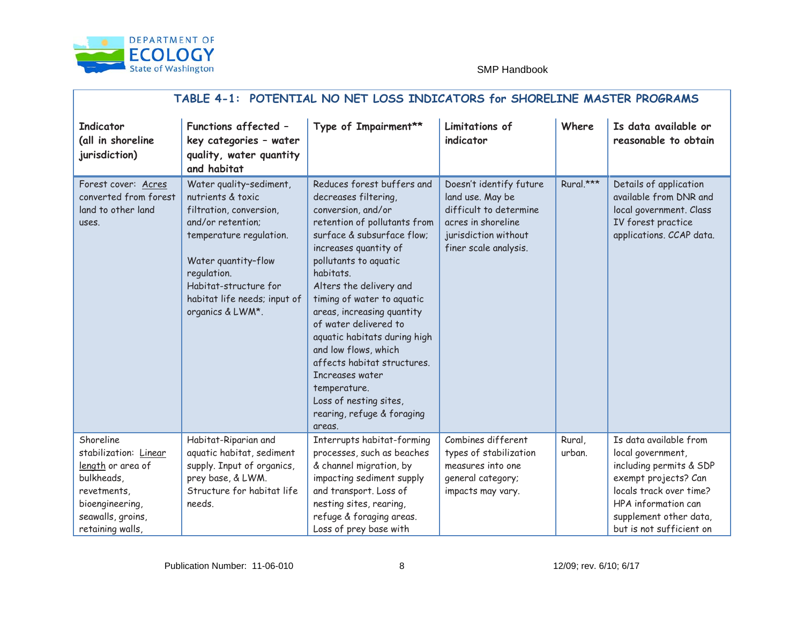

| TABLE 4 - 1: POTENTIAL NO NET LOSS INDICATORS<br>for SHORELINE MASTER PROGRAMS                                                                      |                                                                                                                                                                                                                                                  |                                                                                                                                                                                                                                                                                                                                                                                                                                                                                                                   |                                                                                                                                    |                  |                                                                                                                                                                                                          |  |
|-----------------------------------------------------------------------------------------------------------------------------------------------------|--------------------------------------------------------------------------------------------------------------------------------------------------------------------------------------------------------------------------------------------------|-------------------------------------------------------------------------------------------------------------------------------------------------------------------------------------------------------------------------------------------------------------------------------------------------------------------------------------------------------------------------------------------------------------------------------------------------------------------------------------------------------------------|------------------------------------------------------------------------------------------------------------------------------------|------------------|----------------------------------------------------------------------------------------------------------------------------------------------------------------------------------------------------------|--|
| Indicator<br>(all in shoreline<br>jurisdiction)                                                                                                     | <b>Functions affected</b><br>$\sim$ $-$<br>key categories - water<br>quality, water quantity<br>and habitat                                                                                                                                      | Type of Impairment**                                                                                                                                                                                                                                                                                                                                                                                                                                                                                              | Limitations of<br>indicator                                                                                                        | Where            | Is data available or<br>reasonable to obtain                                                                                                                                                             |  |
| Forest cover: Acres<br>converted from forest<br>land to other land<br>uses.                                                                         | Water quality -sediment,<br>nutrients & toxic<br>filtration, conversion,<br>and/or retention;<br>temperature regulation.<br>Water quantity - flow<br>regulation.<br>Habitat - structure for<br>habitat life needs ; input of<br>organics & LWM*. | Reduces forest buffers and<br>decreases filtering,<br>conversion, and/or<br>retention of pollutants from<br>surface & subsurface flow;<br>increases quantity of<br>pollutants to aquatic<br>habitats.<br>Alters the delivery and<br>timing of water to aquatic<br>areas, increasing quantity<br>of water delivered to<br>aquatic habitats during high<br>and low flows, which<br>affects habitat structures.<br>Increases water<br>temperature.<br>Loss of nesting sites,<br>rearing, refuge & foraging<br>areas. | 'RHVQ·W LGHQW<br>land use. May be<br>difficult to determine<br>acres in shoreline<br>jurisdiction without<br>finer scale analysis. | Rural.***        | Details of application<br>available from DNR and<br>local government. Class<br>IV forest practice<br>applications. CCAP data.                                                                            |  |
| Shoreline<br>stabilization:<br>Linear<br>length or area of<br>bulkheads,<br>revetments,<br>bioengineering,<br>seawalls, groins,<br>retaining walls, | Habitat - Riparian and<br>aquatic habitat, sediment<br>supply. Input of organics,<br>prey base, & LWM.<br>Structure for habitat life<br>needs.                                                                                                   | I nterrupts habitat -forming<br>processes, such as beaches<br>& channel migration, by<br>impacting sediment supply<br>and transport. Loss of<br>nesting sites, rearing,<br>refuge & foraging areas.<br>Loss of prey base with                                                                                                                                                                                                                                                                                     | Combines different<br>types of stabilization<br>measures into one<br>general category;<br>impacts may vary.                        | Rural,<br>urban. | Is data available from<br>local government,<br>including permits & SDP<br>exempt pr ojects? Can<br>locals track over time ?<br>HPA information can<br>supplement other data,<br>but is not sufficient on |  |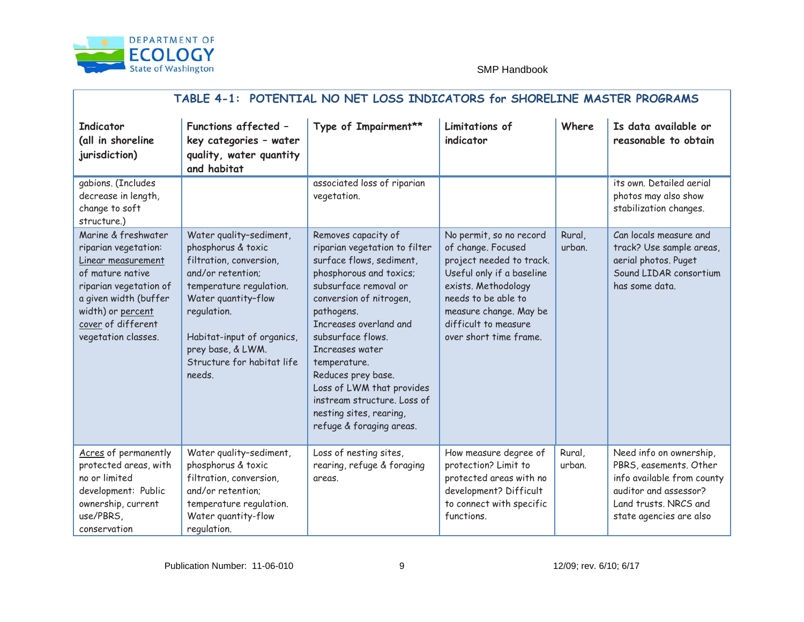

| TABLE 4 - 1: POTENTIAL NO NET LOSS INDICATORS<br>for SHORELINE MASTER PROGRAMS                                                                                                                               |                                                                                                                                                                                                                                                                  |                                                                                                                                                                                                                                                                                                                                                                                                           |                                                                                                                                                                                                                                  |                  |                                                                                                                                                              |  |
|--------------------------------------------------------------------------------------------------------------------------------------------------------------------------------------------------------------|------------------------------------------------------------------------------------------------------------------------------------------------------------------------------------------------------------------------------------------------------------------|-----------------------------------------------------------------------------------------------------------------------------------------------------------------------------------------------------------------------------------------------------------------------------------------------------------------------------------------------------------------------------------------------------------|----------------------------------------------------------------------------------------------------------------------------------------------------------------------------------------------------------------------------------|------------------|--------------------------------------------------------------------------------------------------------------------------------------------------------------|--|
| Indicator<br>(all in shoreline<br>jurisdiction)                                                                                                                                                              | <b>Functions affected</b><br>$\overline{\phantom{m}}$<br>key categories - water<br>quality, water quantity<br>and habitat                                                                                                                                        | Type of Impairment**                                                                                                                                                                                                                                                                                                                                                                                      | Limitations of<br>indicator                                                                                                                                                                                                      | Where            | Is data available or<br>reasonable to obtain                                                                                                                 |  |
| gabions. (Includes<br>decrease in length,<br>change to soft<br>structure.)                                                                                                                                   |                                                                                                                                                                                                                                                                  | associated loss of riparian<br>vegetation.                                                                                                                                                                                                                                                                                                                                                                |                                                                                                                                                                                                                                  |                  | its own. Detailed aerial<br>photos may also show<br>stabilization changes.                                                                                   |  |
| Marine & f reshwater<br>riparian vegetation:<br>Linear measurement<br>of mature native<br>ripa rian vegetation of<br>a given width (buffer<br>width) or percent<br>cover of different<br>vegetation classes. | Water quality -sediment,<br>phosphorus & toxic<br>filtration, conversion,<br>and/or retention;<br>temperature regulation.<br>Water quantity - flow<br>regulation.<br>Habitat -input of organics,<br>prey base, & LWM.<br>Structure for<br>habitat life<br>needs. | Removes capacity of<br>riparian vegetation to filter<br>surface flows, sediment,<br>phosphorous and toxics;<br>subsurface removal or<br>conversion of nitrogen,<br>pathogens.<br>Increases overland and<br>subsurface flows.<br>Increases water<br>temperature.<br>Reduces prey base.<br>Loss of LWM that provides<br>instream structure. L oss of<br>nesting sites, rearing,<br>refuge & foraging areas. | No permit, so no record<br>of change. Focused<br>project needed to track.<br>Useful only if a baseline<br>exists. Methodology<br>needs to be able to<br>measure change. May be<br>difficult to measure<br>over short time frame. | Rural,<br>urban. | Can locals measure and<br>track? Use sample areas,<br>aerial photos . Puget<br>Sound LIDAR consortium<br>has some data.                                      |  |
| Acres of perma nently<br>protected areas, with<br>no or limited<br>development: Public<br>ownership, current<br>use/PBRS,<br>conservation                                                                    | Water quality -sediment,<br>phosphorus & toxic<br>filtration, conversion,<br>and/or retention;<br>temperature regulation.<br>Water quantity - flow<br>regulation.                                                                                                | Loss of nesting sites,<br>rearing, refuge & foraging<br>areas.                                                                                                                                                                                                                                                                                                                                            | How measure degree of<br>protection? Limit to<br>protected areas with no<br>development? Difficult<br>to connect with specific<br>functions.                                                                                     | Rural,<br>urban. | Need info on ownership,<br>PBRS, easements. Other<br>info available from county<br>auditor and assessor?<br>Land trusts. NRCS and<br>state agencies are also |  |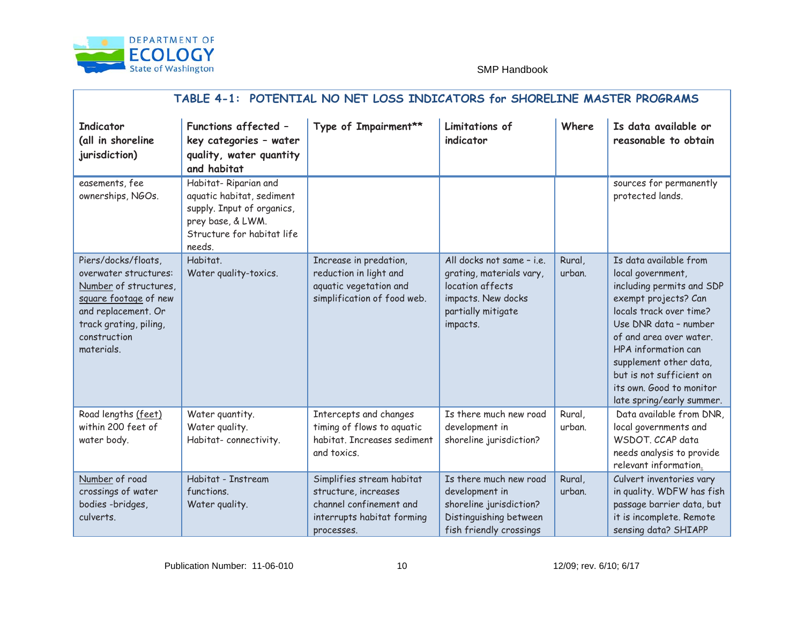

| TABLE 4 - 1: POTENTIAL NO NET LOSS INDICATORS<br>for SHORELINE MASTER PROGRAMS                                                                                                |                                                                                                                                                |                                                                                                                           |                                                                                                                                    |                  |                                                                                                                                                                                                                                                                                                                         |  |
|-------------------------------------------------------------------------------------------------------------------------------------------------------------------------------|------------------------------------------------------------------------------------------------------------------------------------------------|---------------------------------------------------------------------------------------------------------------------------|------------------------------------------------------------------------------------------------------------------------------------|------------------|-------------------------------------------------------------------------------------------------------------------------------------------------------------------------------------------------------------------------------------------------------------------------------------------------------------------------|--|
| Indicator<br>(all in shoreline<br>jurisdiction)                                                                                                                               | <b>Functions affected</b><br>$\overline{\phantom{0}}$<br>key categories - water<br>quality, water quantity<br>and habitat                      | Type of Impairment**                                                                                                      | Limitations of<br>indicator                                                                                                        | Where            | Is data available or<br>reasonable to obtain                                                                                                                                                                                                                                                                            |  |
| easements, fee<br>ownerships, NGOs.                                                                                                                                           | Habitat - Riparian and<br>aquatic habitat, sediment<br>supply. Input of organics,<br>prey base, & LWM.<br>Structure for habitat life<br>needs. |                                                                                                                           |                                                                                                                                    |                  | sources for permanently<br>protected lands.                                                                                                                                                                                                                                                                             |  |
| Piers/docks/floats,<br>overwater structures:<br>Number of structures,<br>square footage of new<br>and replacement. Or<br>track grating, piling,<br>construction<br>materials. | Habitat.<br>Water quality-toxics.                                                                                                              | Increase in predation,<br>reduction in light and<br>aquatic vegetation and<br>simplification of food web.                 | All docks not same $-i.e.$<br>grating, materials vary,<br>location affects<br>impacts. New docks<br>partially mitigate<br>impacts. | Rural,<br>urban. | Is data ava ilable from<br>local government,<br>including permits and SDP<br>exempt projects? Can<br>locals track over time?<br>Use DNR data - number<br>of and area over water.<br>HPA information can<br>supplement other data,<br>but is not sufficient on<br>its own. Good to monitor<br>late spring/earl y summer. |  |
| Road lengths (feet)<br>within 200 feet of<br>water body.                                                                                                                      | Water quantity.<br>Water quality.<br>Habitat - connectivity .                                                                                  | Intercepts and changes<br>timing of flows to aquatic<br>habitat. Increases sediment<br>and toxics.                        | Is there much new road<br>development in<br>shoreline jurisdiction?                                                                | Rural,<br>urban. | Data available from DNR,<br>local governments and<br>WSDOT. CCAP data<br>needs analysis to provide<br>relevant information.                                                                                                                                                                                             |  |
| Number of road<br>crossings of water<br>bodies - bridges,<br>culverts.                                                                                                        | Habitat - Instream<br>functions.<br>Water quality .                                                                                            | Simplifies stream habitat<br>structure, increases<br>channel confinement and<br>inter rupts habitat forming<br>processes. | Is there much new road<br>development in<br>shoreline jurisdiction?<br>Distinguishing between<br>fish friendly crossings           | Rural,<br>urban. | Culvert inventories vary<br>in quality. WDFW has fish<br>passage barrier data, but<br>it is incomplete. Remote<br>sensing data? SHIAPP                                                                                                                                                                                  |  |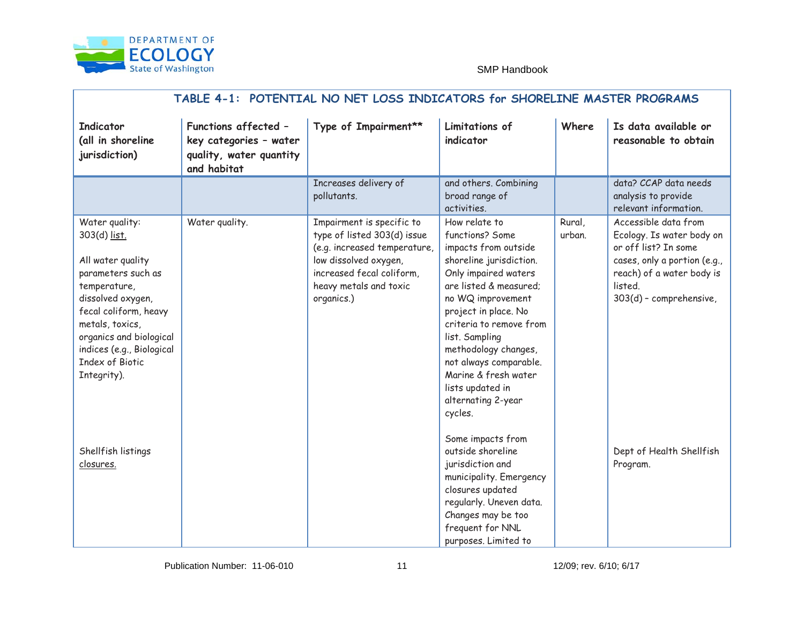

| TABLE 4 - 1: POTENTIAL NO NET LOSS INDICATORS<br>for SHORELINE MASTER PROGRAMS                                                                                                                                                                        |                                                                                                             |                                                                                                                                                                                        |                                                                                                                                                                                                                                                                                                                                                                  |                  |                                                                                                                                                                              |  |
|-------------------------------------------------------------------------------------------------------------------------------------------------------------------------------------------------------------------------------------------------------|-------------------------------------------------------------------------------------------------------------|----------------------------------------------------------------------------------------------------------------------------------------------------------------------------------------|------------------------------------------------------------------------------------------------------------------------------------------------------------------------------------------------------------------------------------------------------------------------------------------------------------------------------------------------------------------|------------------|------------------------------------------------------------------------------------------------------------------------------------------------------------------------------|--|
| Indicator<br>(all in shoreline<br>jurisdiction)                                                                                                                                                                                                       | <b>Functions affected</b><br>$\sim$ $-$<br>key categories - water<br>quality, water quantity<br>and habitat | Type of Impairment**                                                                                                                                                                   | Limitations of<br>indicator                                                                                                                                                                                                                                                                                                                                      | Where            | Is data available or<br>reasonable to obtain                                                                                                                                 |  |
|                                                                                                                                                                                                                                                       |                                                                                                             | Increases delivery of<br>pollutants.                                                                                                                                                   | and others. Combining<br>broad range of<br>activities.                                                                                                                                                                                                                                                                                                           |                  | data? CCAP data needs<br>analysis to provide<br>relevant information.                                                                                                        |  |
| Water quality:<br>303(d) list.<br>All water quality<br>parameters such as<br>temperature,<br>dissolved oxygen,<br>fecal coliform, heavy<br>metals, toxic s,<br>organics and biological<br>indices (e.g., Biological<br>Index of Biotic<br>Integrity). | Water quality .                                                                                             | Impairment is specific to<br>type of listed 303(d) issue<br>(e.g. increased temperature,<br>low dissolved oxygen,<br>increased fecal coliform,<br>heavy metals and toxic<br>organics.) | How relate to<br>functions? Some<br>impacts from outside<br>shoreline jurisdiction.<br>Only impaired waters<br>are listed & measured;<br>no WQ improvement<br>project in place. No<br>criteria to remove from<br>list. Sampling<br>methodology changes,<br>not always comparable.<br>Marine & fresh water<br>lists updated in<br>alternating 2 - year<br>cycles. | Rural,<br>urban. | Accessible data from<br>Ecology. Is water body on<br>or off list? In some<br>cases, only a portion (e.g.,<br>reach) of a water body is<br>listed.<br>303(d) - comprehensive, |  |
| Shellfish listings<br>closures.                                                                                                                                                                                                                       |                                                                                                             |                                                                                                                                                                                        | Some impacts from<br>outside shoreline<br>jurisdiction and<br>municipality. Emergency<br>closures updated<br>regularly. Uneven data.<br>Changes may be too<br>frequent for NNL<br>purposes. Limited to                                                                                                                                                           |                  | Dept of Health Shellfish<br>Program.                                                                                                                                         |  |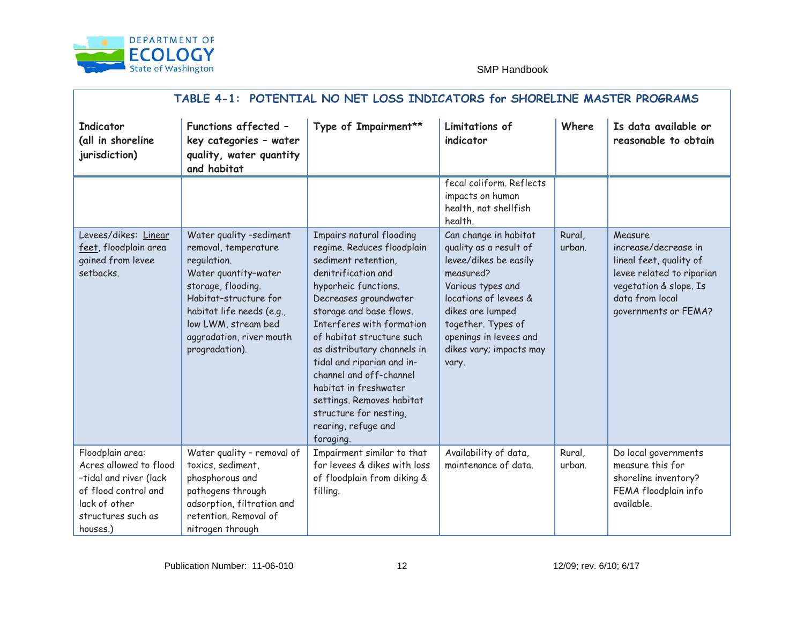

| TABLE 4 - 1: POTENTIAL NO NET LOSS INDICATORS<br>for SHORELINE MASTER PROGRAMS                                                                  |                                                                                                                                                                                                                                           |                                                                                                                                                                                                                                                                                                                                                                                                                                                            |                                                                                                                                                                                                                                             |                  |                                                                                                                                                              |
|-------------------------------------------------------------------------------------------------------------------------------------------------|-------------------------------------------------------------------------------------------------------------------------------------------------------------------------------------------------------------------------------------------|------------------------------------------------------------------------------------------------------------------------------------------------------------------------------------------------------------------------------------------------------------------------------------------------------------------------------------------------------------------------------------------------------------------------------------------------------------|---------------------------------------------------------------------------------------------------------------------------------------------------------------------------------------------------------------------------------------------|------------------|--------------------------------------------------------------------------------------------------------------------------------------------------------------|
| Indicator<br>(all in shoreline<br>jurisdiction)                                                                                                 | <b>Functions affected</b><br>$\overline{\phantom{0}}$<br>key categories - water<br>quality, water quantity<br>and habitat                                                                                                                 | Type of Impairment**                                                                                                                                                                                                                                                                                                                                                                                                                                       | Limitations of<br>indicator                                                                                                                                                                                                                 | Where            | Is data available or<br>reasonable to obtain                                                                                                                 |
|                                                                                                                                                 |                                                                                                                                                                                                                                           |                                                                                                                                                                                                                                                                                                                                                                                                                                                            | fecal coliform. Reflects<br>impacts on human<br>health, not shellfish<br>health.                                                                                                                                                            |                  |                                                                                                                                                              |
| Levees/dikes: Linear<br>feet, floodplain area<br>gained from levee<br>setbacks.                                                                 | Water quality -sediment<br>removal, temperature<br>regulation.<br>Water quantity -water<br>storage, flooding.<br>Habitat -structure for<br>habitat life needs (e.g.,<br>low LWM, stream bed<br>aggradation, river mouth<br>progradation). | I mpairs natural flooding<br>regime. Reduces floodplain<br>sediment retention,<br>denitrification and<br>hyporheic functions.<br>Decreases groundwater<br>storage and base flows.<br>I nterferes with formation<br>of habitat structure such<br>as distributary channels in<br>tidal and riparian and in-<br>channel and off - channel<br>habitat in freshwater<br>settings. Removes habitat<br>structure for nesting,<br>rearing, refuge and<br>foraging. | Can change in habitat<br>quality as a result of<br>levee/dikes be easily<br>measured?<br>Various types and<br>locations of levees &<br>dikes are lumped<br>together. Types of<br>openings in levees and<br>dikes vary; impacts may<br>vary. | Rural,<br>urban. | Measure<br>increase/decrease in<br>lineal feet, quality of<br>levee related to riparian<br>vegetation & slope. Is<br>data from local<br>governments or FEMA? |
| Floodplain area:<br>Acres_allowed to flood<br>-tidal and river (lack<br>of flood control and<br>lack of other<br>structures such as<br>houses.) | Water quality - removal of<br>toxics, sediment,<br>phosphorous and<br>pathogens through<br>adsorpt ion, filtration and<br>retention. Removal of<br>nitrogen through                                                                       | Impairment similar to that<br>for levees & dikes with loss<br>of floodplain from diking &<br>filling.                                                                                                                                                                                                                                                                                                                                                      | Availability of data,<br>maintenance of data.                                                                                                                                                                                               | Rural,<br>urban. | Do local governments<br>measure this for<br>shorelin e inventory?<br>FEMA floodplain info<br>available.                                                      |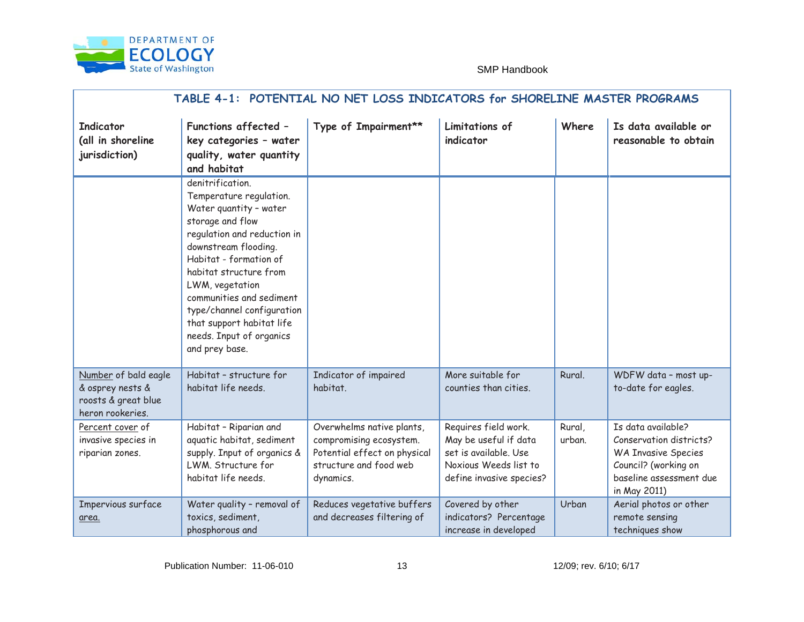

| TABLE 4 - 1: POTENTIAL NO NET LOSS INDICATORS<br>for SHORELINE MASTER PROGRAMS      |                                                                                                                                                                                                                                                                                                                                                              |                                                                                                                              |                                                                                                                             |                  |                                                                                                                                                |
|-------------------------------------------------------------------------------------|--------------------------------------------------------------------------------------------------------------------------------------------------------------------------------------------------------------------------------------------------------------------------------------------------------------------------------------------------------------|------------------------------------------------------------------------------------------------------------------------------|-----------------------------------------------------------------------------------------------------------------------------|------------------|------------------------------------------------------------------------------------------------------------------------------------------------|
| Indicator<br>(all in shoreline<br>jurisdiction)                                     | <b>Functions affected</b><br>$\overline{\phantom{m}}$<br>key categories - water<br>quality, water quantity<br>and habitat                                                                                                                                                                                                                                    | Type of Impairment**                                                                                                         | Limitations of<br>indicator                                                                                                 | Where            | Is data available or<br>reasonable to obtain                                                                                                   |
|                                                                                     | denitrification.<br>Temperature regulation.<br>Water quantity - water<br>storage and flow<br>regulation and reduction in<br>downstream flooding.<br>Habitat - formation of<br>habitat structure from<br>LWM, vegetation<br>communities and sediment<br>type/channel configuration<br>that support habitat life<br>needs. Input of organics<br>and prey base. |                                                                                                                              |                                                                                                                             |                  |                                                                                                                                                |
| Number of bald eagle<br>& osprey nests &<br>roosts & great blue<br>heron rookeries. | Habitat - structure for<br>habitat life needs.                                                                                                                                                                                                                                                                                                               | Indicator of impaired<br>habitat.                                                                                            | More suitable for<br>counties than cities.                                                                                  | Rural.           | WDFW data - most up-<br>to-date for eagles.                                                                                                    |
| Percent cover_of<br>invasive species in<br>riparian zones.                          | Habitat - Riparian and<br>aquatic habitat, sediment<br>supply. Input of organics &<br>LWM. Structure for<br>habitat life needs.                                                                                                                                                                                                                              | Overwhelms native plants,<br>compromising ecosystem.<br>Potent ial effect on physical<br>structure and food web<br>dynamics. | Requires field work.<br>May be useful if data<br>set is available. Use<br>Noxious Weeds list to<br>define invasive species? | Rural,<br>urban. | Is data available?<br>Conservation districts?<br><b>WA Invasive Species</b><br>Council? (working on<br>baseline assessment due<br>in May 2011) |
| Impervious surface<br>area.                                                         | Water quality - removal of<br>toxics, sediment,<br>phosphorous and                                                                                                                                                                                                                                                                                           | Reduces vegetative buffers<br>and decreases filtering of                                                                     | Covered by other<br>indicators? Percentage<br>increase in developed                                                         | Urban            | Aerial photos or other<br>remote sensing<br>techniques show                                                                                    |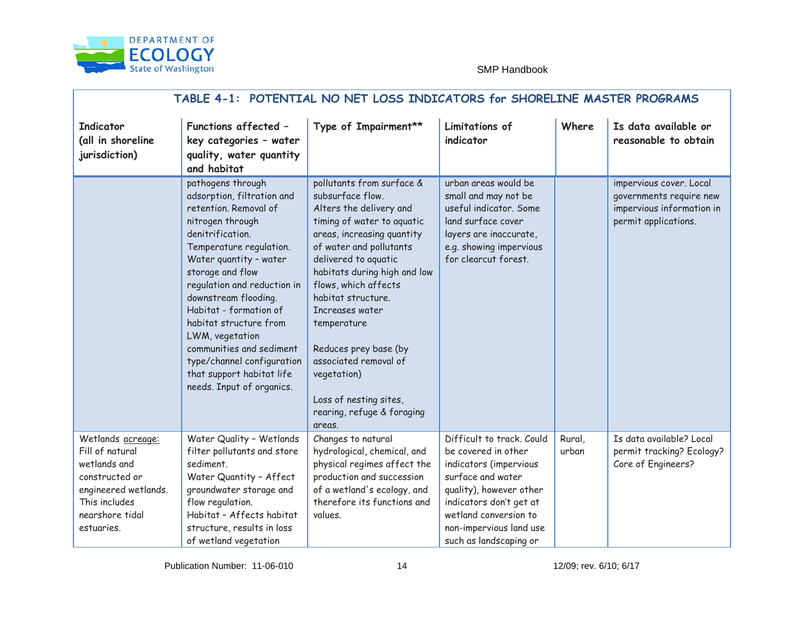

| TABLE 4 - 1: POTENTIAL NO NET LOSS INDICATORS<br>for SHORELINE MASTER PROGRAMS                                                                   |                                                                                                                                                                                                                                                                                                                                                                                                                                              |                                                                                                                                                                                                                                                                                                                                                                                                                                            |                                                                                                                                                                                                                                     |                 |                                                                                                         |  |
|--------------------------------------------------------------------------------------------------------------------------------------------------|----------------------------------------------------------------------------------------------------------------------------------------------------------------------------------------------------------------------------------------------------------------------------------------------------------------------------------------------------------------------------------------------------------------------------------------------|--------------------------------------------------------------------------------------------------------------------------------------------------------------------------------------------------------------------------------------------------------------------------------------------------------------------------------------------------------------------------------------------------------------------------------------------|-------------------------------------------------------------------------------------------------------------------------------------------------------------------------------------------------------------------------------------|-----------------|---------------------------------------------------------------------------------------------------------|--|
| Indicator<br>(all in shoreline<br>jurisdiction)                                                                                                  | <b>Functions affected</b><br>$\overline{\phantom{0}}$<br>key categories - water<br>quality, water quantity<br>and habitat                                                                                                                                                                                                                                                                                                                    | Type of Impairment**                                                                                                                                                                                                                                                                                                                                                                                                                       | Limitations of<br>indicator                                                                                                                                                                                                         | Where           | Is data available or<br>reasonable to obtain                                                            |  |
|                                                                                                                                                  | pathogens through<br>adsorption, filtration and<br>retention. Removal of<br>nitrogen through<br>denitrification.<br>Temperature regulati on.<br>Water quantity - water<br>storage and flow<br>regulation and reduction in<br>downstream flooding.<br>Habitat - formation of<br>habitat structure from<br>LWM, vegetation<br>communities and sediment<br>type/channel configuration<br>that support habitat life<br>needs. Input of organics. | pollutants from surface &<br>subsurface flow.<br>Alters the delivery and<br>timing of water to aquatic<br>areas, increasing quantity<br>of water and pollutants<br>delivered to aquatic<br>habitats during high and low<br>flows, which affects<br>habitat structure.<br>Increases water<br>temperature<br>Reduces prey base (by<br>associated removal of<br>vegetation)<br>Loss of nesting sites,<br>rearing, refuge & foraging<br>areas. | urban areas would be<br>small and may not be<br>useful indicator. Some<br>land surface cover<br>layers are inaccurate,<br>e.g. showing impervious<br>for clearcut forest.                                                           |                 | impervious cover. Local<br>governments require new<br>impervious information in<br>permit applications. |  |
| Wetlands acreage:<br>Fill of natural<br>wetlands and<br>constructed or<br>engineered wetlands.<br>This includes<br>nearshore tidal<br>estuaries. | Water Quality - Wetlands<br>filter pollutants and store<br>sediment.<br>Water Quantity - Affect<br>groundwater storage and<br>flow regulation.<br>Habitat - Affects habitat<br>structure, results in loss<br>of wetland vegetation                                                                                                                                                                                                           | Changes to natural<br>hydrological, chemical, and<br>physical regimes affect the<br>production a nd succession<br>of a wetland's ecology, and<br>therefore its functions and<br>values.                                                                                                                                                                                                                                                    | Difficult to track. Could<br>be covered in other<br>indicators (impervious<br>surface and water<br>quality), however other<br>LQGLFDWRUV GRQ.W JHW DW<br>wetland conversion to<br>non-impervious land use<br>such as landscaping or | Rural,<br>urban | Is data available? Local<br>permit tracking? Ecology?<br>Core of Engineers?                             |  |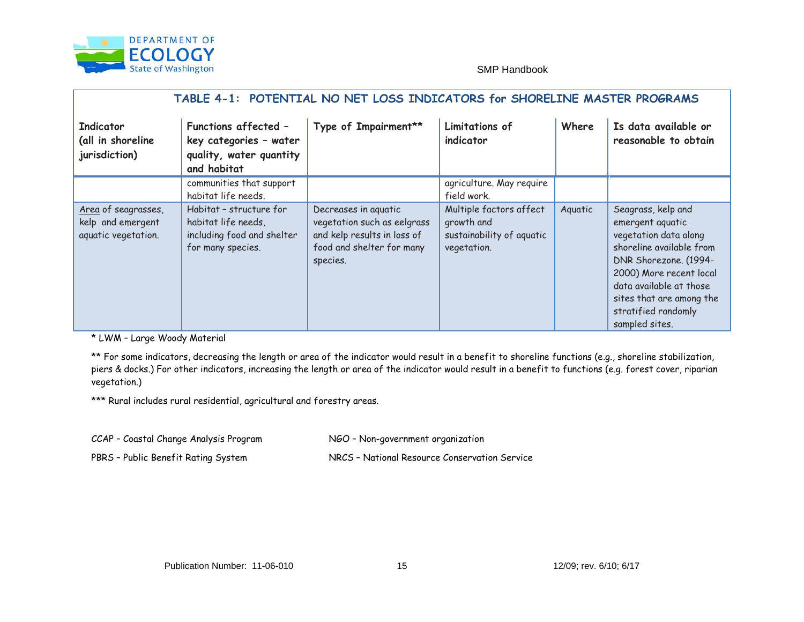

| TABLE 4 - 1: POTENTIAL NO NET LOSS INDICATORS<br>for SHORELINE MASTER PROGRAMS |                                                                                                                           |                                                                                                                             |                                                                                   |         |                                                                                                                                                                                                                                                 |
|--------------------------------------------------------------------------------|---------------------------------------------------------------------------------------------------------------------------|-----------------------------------------------------------------------------------------------------------------------------|-----------------------------------------------------------------------------------|---------|-------------------------------------------------------------------------------------------------------------------------------------------------------------------------------------------------------------------------------------------------|
| Indicator<br>(all in shoreline<br>jurisdiction)                                | <b>Functions affected</b><br>$\overline{\phantom{a}}$<br>key categories - water<br>quality, water quantity<br>and habitat | Type of Impairment**                                                                                                        | Limitations of<br>indicator                                                       | Where   | Is data available or<br>reasonable to obtain                                                                                                                                                                                                    |
|                                                                                | communities that support<br>habitat life needs.                                                                           |                                                                                                                             | agriculture. May require<br>field work.                                           |         |                                                                                                                                                                                                                                                 |
| Area of s eagrasses,<br>kelp and emergent<br>aquatic vegetation.               | Habitat - structure for<br>habitat life needs,<br>including food and shelter<br>for many species.                         | Decreases in aquatic<br>vegetation such as eelgrass<br>and kelp results in loss of<br>food and shelter for many<br>species. | Multiple factors affect<br>growth and<br>sustainability of aquatic<br>vegetation. | Aquatic | Seagrass, kelp and<br>emergent aquatic<br>vegetation data along<br>shoreline available from<br>DNR Shorezone. (1994-<br>2000) More recent local<br>data available at those<br>sites that are among the<br>stratified randomly<br>sampled sites. |

\* LWM – Large Woody Material

\*\* For some indicators, decreasing the length or area of the indicator would result in a benefit to shoreline functions (e.g. , shoreline stabilization, piers & docks.) For other indicators, increasing the length or area of the indicator would resu lt in a benefit to functions (e.g. forest cover, riparian vegetation.)

\*\*\* Rural includes rural residential, agricultural and forestry areas.

CCAP – Coastal Change Analysis Program NGO – Non-government organization

PBRS- Public Benefit Rating System NRCS-National Resource Conservation Service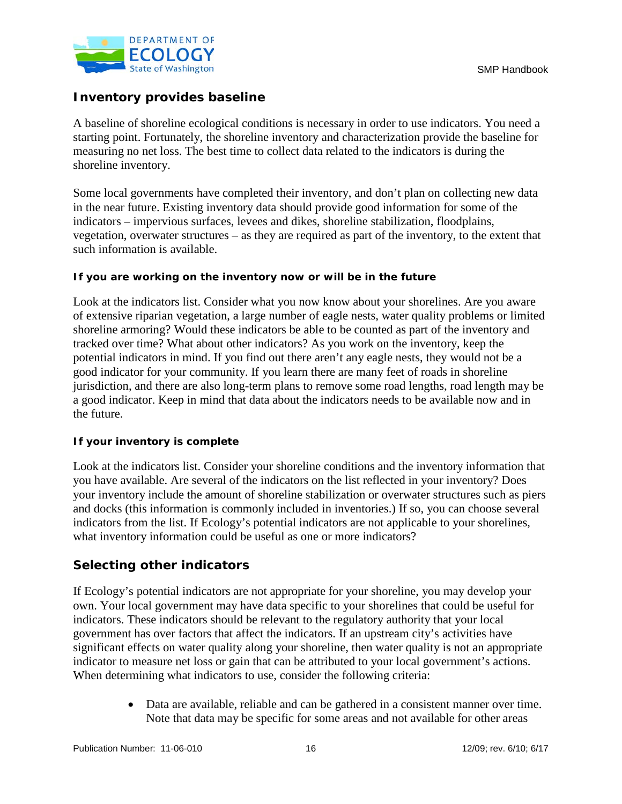

## **Inventory provides baseline**

A baseline of shoreline ecological conditions is necessary in order to use indicators. You need a starting point. Fortunately, the shoreline inventory and characterization provide the baseline for measuring no net loss. The best time to collect data related to the indicators is during the shoreline inventory.

Some local governments have completed their inventory, and don't plan on collecting new data in the near future. Existing inventory data should provide good information for some of the indicators – impervious surfaces, levees and dikes, shoreline stabilization, floodplains, vegetation, overwater structures – as they are required as part of the inventory, to the extent that such information is available.

## **If you are working on the inventory now or will be in the future**

Look at the indicators list. Consider what you now know about your shorelines. Are you aware of extensive riparian vegetation, a large number of eagle nests, water quality problems or limited shoreline armoring? Would these indicators be able to be counted as part of the inventory and tracked over time? What about other indicators? As you work on the inventory, keep the potential indicators in mind. If you find out there aren't any eagle nests, they would not be a good indicator for your community. If you learn there are many feet of roads in shoreline jurisdiction, and there are also long-term plans to remove some road lengths, road length may be a good indicator. Keep in mind that data about the indicators needs to be available now and in the future.

## **If your inventory is complete**

Look at the indicators list. Consider your shoreline conditions and the inventory information that you have available. Are several of the indicators on the list reflected in your inventory? Does your inventory include the amount of shoreline stabilization or overwater structures such as piers and docks (this information is commonly included in inventories.) If so, you can choose several indicators from the list. If Ecology's potential indicators are not applicable to your shorelines, what inventory information could be useful as one or more indicators?

## **Selecting other indicators**

If Ecology's potential indicators are not appropriate for your shoreline, you may develop your own. Your local government may have data specific to your shorelines that could be useful for indicators. These indicators should be relevant to the regulatory authority that your local government has over factors that affect the indicators. If an upstream city's activities have significant effects on water quality along your shoreline, then water quality is not an appropriate indicator to measure net loss or gain that can be attributed to your local government's actions. When determining what indicators to use, consider the following criteria:

> • Data are available, reliable and can be gathered in a consistent manner over time. Note that data may be specific for some areas and not available for other areas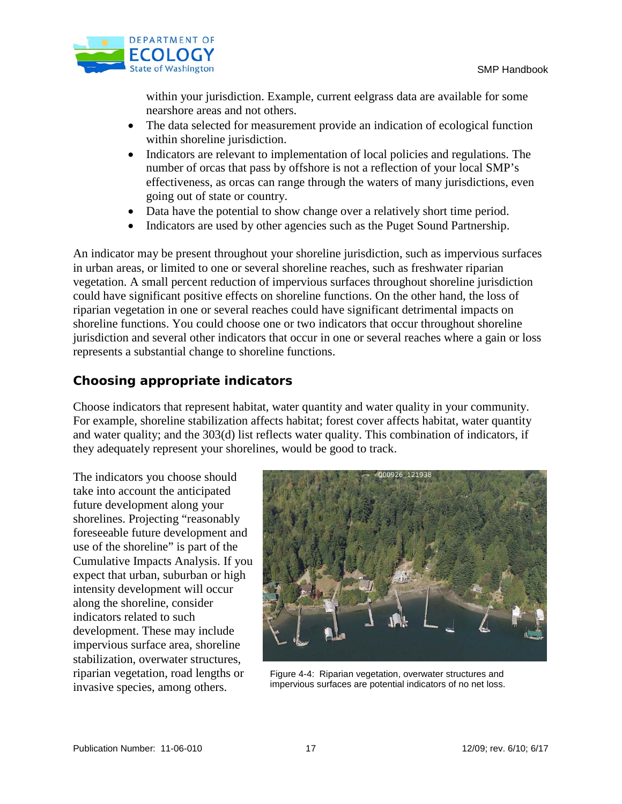

within your jurisdiction. Example, current eelgrass data are available for some nearshore areas and not others.

- The data selected for measurement provide an indication of ecological function within shoreline jurisdiction.
- Indicators are relevant to implementation of local policies and regulations. The number of orcas that pass by offshore is not a reflection of your local SMP's effectiveness, as orcas can range through the waters of many jurisdictions, even going out of state or country.
- Data have the potential to show change over a relatively short time period.
- Indicators are used by other agencies such as the Puget Sound Partnership.

An indicator may be present throughout your shoreline jurisdiction, such as impervious surfaces in urban areas, or limited to one or several shoreline reaches, such as freshwater riparian vegetation. A small percent reduction of impervious surfaces throughout shoreline jurisdiction could have significant positive effects on shoreline functions. On the other hand, the loss of riparian vegetation in one or several reaches could have significant detrimental impacts on shoreline functions. You could choose one or two indicators that occur throughout shoreline jurisdiction and several other indicators that occur in one or several reaches where a gain or loss represents a substantial change to shoreline functions.

## **Choosing appropriate indicators**

Choose indicators that represent habitat, water quantity and water quality in your community. For example, shoreline stabilization affects habitat; forest cover affects habitat, water quantity and water quality; and the 303(d) list reflects water quality. This combination of indicators, if they adequately represent your shorelines, would be good to track.

The indicators you choose should take into account the anticipated future development along your shorelines. Projecting "reasonably foreseeable future development and use of the shoreline" is part of the Cumulative Impacts Analysis. If you expect that urban, suburban or high intensity development will occur along the shoreline, consider indicators related to such development. These may include impervious surface area, shoreline stabilization, overwater structures, riparian vegetation, road lengths or invasive species, among others.



Figure 4-4: Riparian vegetation, overwater structures and impervious surfaces are potential indicators of no net loss.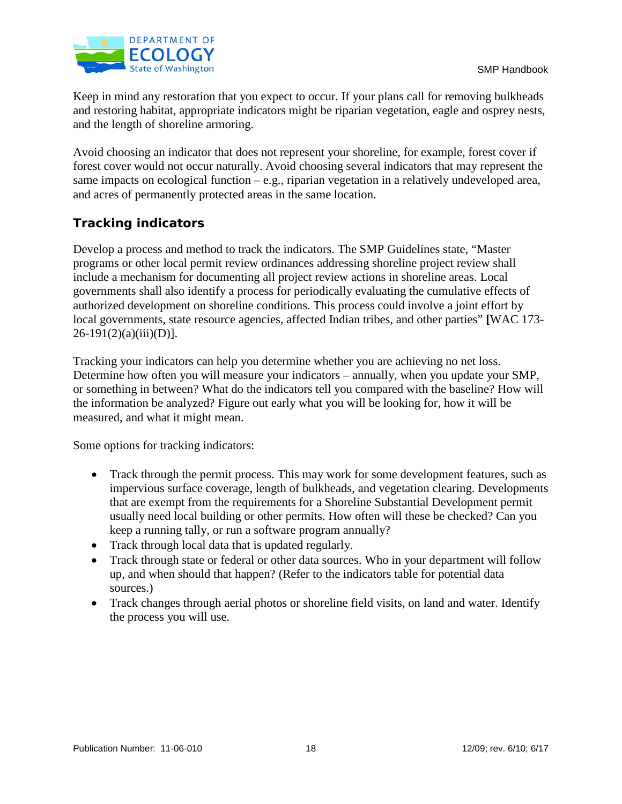

Keep in mind any restoration that you expect to occur. If your plans call for removing bulkheads and restoring habitat, appropriate indicators might be riparian vegetation, eagle and osprey nests, and the length of shoreline armoring.

Avoid choosing an indicator that does not represent your shoreline, for example, forest cover if forest cover would not occur naturally. Avoid choosing several indicators that may represent the same impacts on ecological function – e.g., riparian vegetation in a relatively undeveloped area, and acres of permanently protected areas in the same location.

## **Tracking indicators**

Develop a process and method to track the indicators. The SMP Guidelines state, "Master programs or other local permit review ordinances addressing shoreline project review shall include a mechanism for documenting all project review actions in shoreline areas. Local governments shall also identify a process for periodically evaluating the cumulative effects of authorized development on shoreline conditions. This process could involve a joint effort by local governments, state resource agencies, affected Indian tribes, and other parties" **[**WAC 173-  $26-191(2)(a)(iii)(D)$ ].

Tracking your indicators can help you determine whether you are achieving no net loss. Determine how often you will measure your indicators – annually, when you update your SMP, or something in between? What do the indicators tell you compared with the baseline? How will the information be analyzed? Figure out early what you will be looking for, how it will be measured, and what it might mean.

Some options for tracking indicators:

- Track through the permit process. This may work for some development features, such as impervious surface coverage, length of bulkheads, and vegetation clearing. Developments that are exempt from the requirements for a Shoreline Substantial Development permit usually need local building or other permits. How often will these be checked? Can you keep a running tally, or run a software program annually?
- Track through local data that is updated regularly.
- Track through state or federal or other data sources. Who in your department will follow up, and when should that happen? (Refer to the indicators table for potential data sources.)
- Track changes through aerial photos or shoreline field visits, on land and water. Identify the process you will use.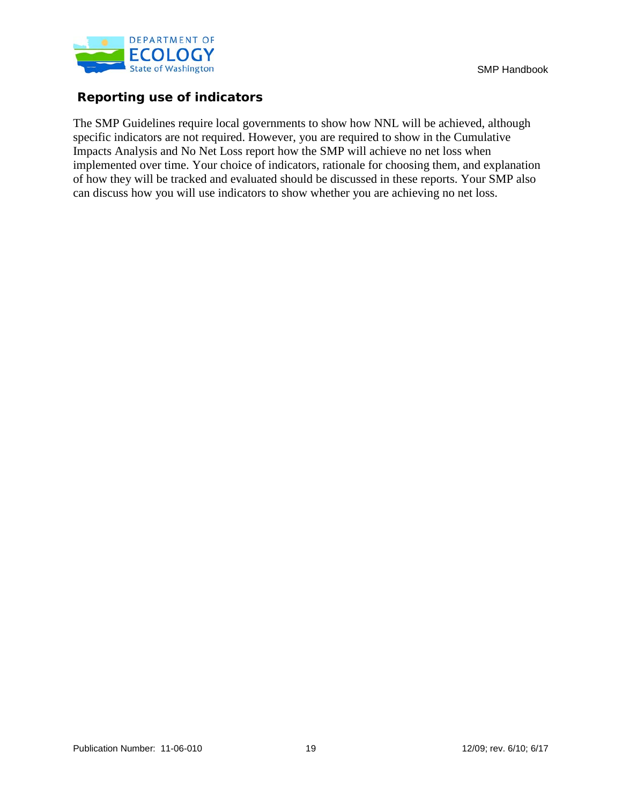

## **Reporting use of indicators**

The SMP Guidelines require local governments to show how NNL will be achieved, although specific indicators are not required. However, you are required to show in the Cumulative Impacts Analysis and No Net Loss report how the SMP will achieve no net loss when implemented over time. Your choice of indicators, rationale for choosing them, and explanation of how they will be tracked and evaluated should be discussed in these reports. Your SMP also can discuss how you will use indicators to show whether you are achieving no net loss.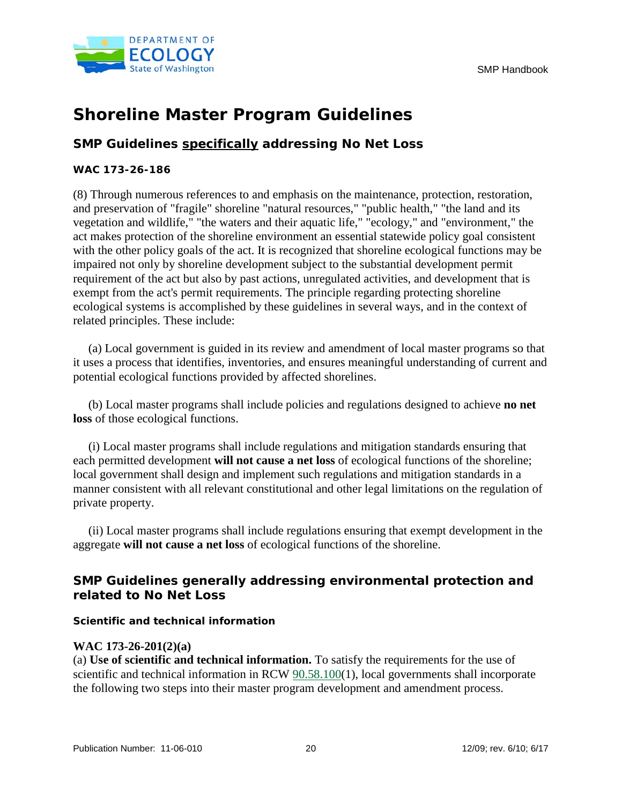

# **Shoreline Master Program Guidelines**

## **SMP Guidelines specifically addressing No Net Loss**

## **WAC 173-26-186**

(8) Through numerous references to and emphasis on the maintenance, protection, restoration, and preservation of "fragile" shoreline "natural resources," "public health," "the land and its vegetation and wildlife," "the waters and their aquatic life," "ecology," and "environment," the act makes protection of the shoreline environment an essential statewide policy goal consistent with the other policy goals of the act. It is recognized that shoreline ecological functions may be impaired not only by shoreline development subject to the substantial development permit requirement of the act but also by past actions, unregulated activities, and development that is exempt from the act's permit requirements. The principle regarding protecting shoreline ecological systems is accomplished by these guidelines in several ways, and in the context of related principles. These include:

 (a) Local government is guided in its review and amendment of local master programs so that it uses a process that identifies, inventories, and ensures meaningful understanding of current and potential ecological functions provided by affected shorelines.

 (b) Local master programs shall include policies and regulations designed to achieve **no net loss** of those ecological functions.

 (i) Local master programs shall include regulations and mitigation standards ensuring that each permitted development **will not cause a net loss** of ecological functions of the shoreline; local government shall design and implement such regulations and mitigation standards in a manner consistent with all relevant constitutional and other legal limitations on the regulation of private property.

 (ii) Local master programs shall include regulations ensuring that exempt development in the aggregate **will not cause a net loss** of ecological functions of the shoreline.

## **SMP Guidelines generally addressing environmental protection and related to No Net Loss**

**Scientific and technical information** 

## **WAC 173-26-201(2)(a)**

(a) **Use of scientific and technical information.** To satisfy the requirements for the use of scientific and technical information in RCW 90.58.100(1), local governments shall incorporate the following two steps into their master program development and amendment process.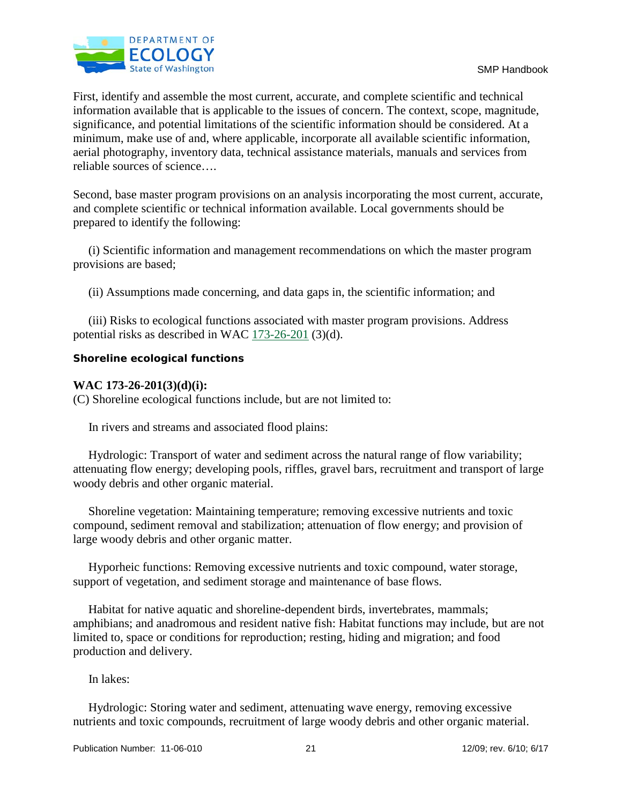

First, identify and assemble the most current, accurate, and complete scientific and technical information available that is applicable to the issues of concern. The context, scope, magnitude, significance, and potential limitations of the scientific information should be considered. At a minimum, make use of and, where applicable, incorporate all available scientific information, aerial photography, inventory data, technical assistance materials, manuals and services from reliable sources of science….

Second, base master program provisions on an analysis incorporating the most current, accurate, and complete scientific or technical information available. Local governments should be prepared to identify the following:

 (i) Scientific information and management recommendations on which the master program provisions are based;

(ii) Assumptions made concerning, and data gaps in, the scientific information; and

 (iii) Risks to ecological functions associated with master program provisions. Address potential risks as described in WAC 173-26-201 (3)(d).

#### **Shoreline ecological functions**

## **WAC 173-26-201(3)(d)(i):**

(C) Shoreline ecological functions include, but are not limited to:

In rivers and streams and associated flood plains:

 Hydrologic: Transport of water and sediment across the natural range of flow variability; attenuating flow energy; developing pools, riffles, gravel bars, recruitment and transport of large woody debris and other organic material.

 Shoreline vegetation: Maintaining temperature; removing excessive nutrients and toxic compound, sediment removal and stabilization; attenuation of flow energy; and provision of large woody debris and other organic matter.

 Hyporheic functions: Removing excessive nutrients and toxic compound, water storage, support of vegetation, and sediment storage and maintenance of base flows.

 Habitat for native aquatic and shoreline-dependent birds, invertebrates, mammals; amphibians; and anadromous and resident native fish: Habitat functions may include, but are not limited to, space or conditions for reproduction; resting, hiding and migration; and food production and delivery.

## In lakes:

 Hydrologic: Storing water and sediment, attenuating wave energy, removing excessive nutrients and toxic compounds, recruitment of large woody debris and other organic material.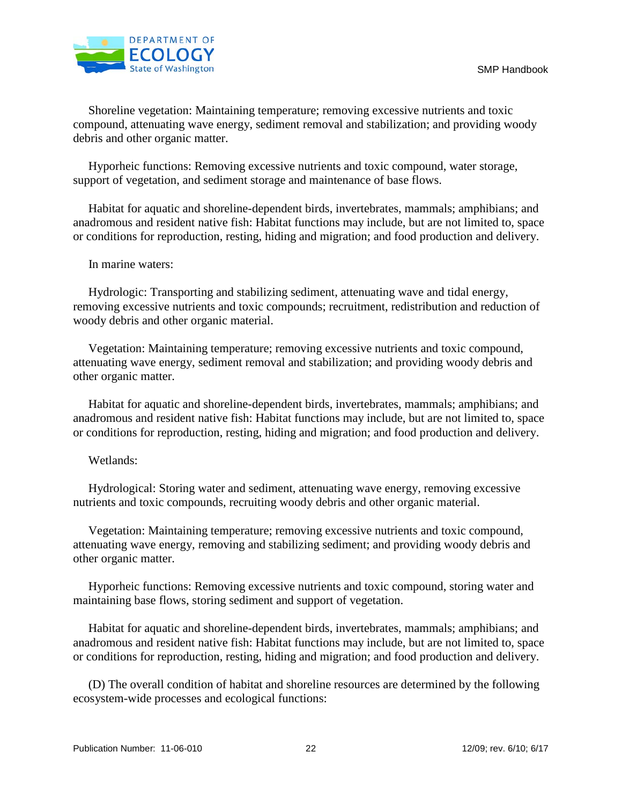

 Shoreline vegetation: Maintaining temperature; removing excessive nutrients and toxic compound, attenuating wave energy, sediment removal and stabilization; and providing woody debris and other organic matter.

 Hyporheic functions: Removing excessive nutrients and toxic compound, water storage, support of vegetation, and sediment storage and maintenance of base flows.

 Habitat for aquatic and shoreline-dependent birds, invertebrates, mammals; amphibians; and anadromous and resident native fish: Habitat functions may include, but are not limited to, space or conditions for reproduction, resting, hiding and migration; and food production and delivery.

In marine waters:

 Hydrologic: Transporting and stabilizing sediment, attenuating wave and tidal energy, removing excessive nutrients and toxic compounds; recruitment, redistribution and reduction of woody debris and other organic material.

 Vegetation: Maintaining temperature; removing excessive nutrients and toxic compound, attenuating wave energy, sediment removal and stabilization; and providing woody debris and other organic matter.

 Habitat for aquatic and shoreline-dependent birds, invertebrates, mammals; amphibians; and anadromous and resident native fish: Habitat functions may include, but are not limited to, space or conditions for reproduction, resting, hiding and migration; and food production and delivery.

Wetlands:

 Hydrological: Storing water and sediment, attenuating wave energy, removing excessive nutrients and toxic compounds, recruiting woody debris and other organic material.

 Vegetation: Maintaining temperature; removing excessive nutrients and toxic compound, attenuating wave energy, removing and stabilizing sediment; and providing woody debris and other organic matter.

 Hyporheic functions: Removing excessive nutrients and toxic compound, storing water and maintaining base flows, storing sediment and support of vegetation.

 Habitat for aquatic and shoreline-dependent birds, invertebrates, mammals; amphibians; and anadromous and resident native fish: Habitat functions may include, but are not limited to, space or conditions for reproduction, resting, hiding and migration; and food production and delivery.

 (D) The overall condition of habitat and shoreline resources are determined by the following ecosystem-wide processes and ecological functions: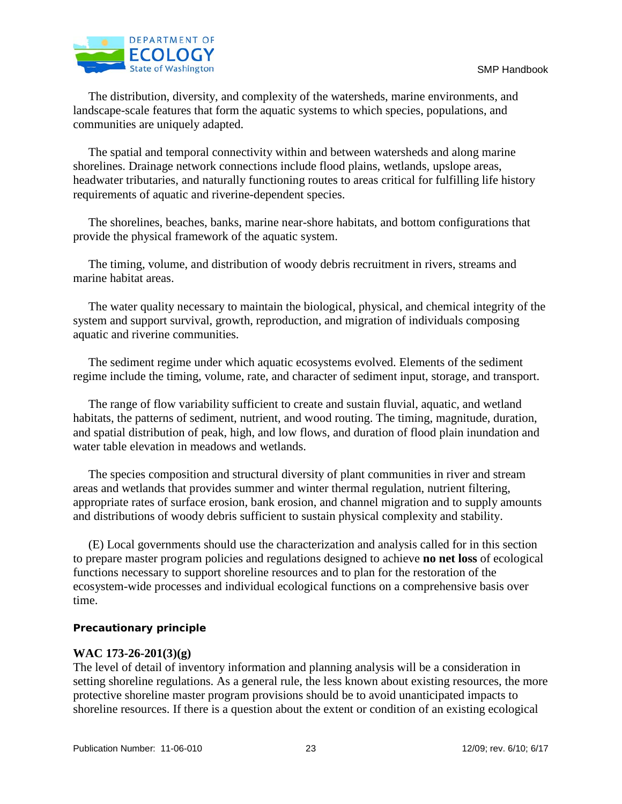

 The distribution, diversity, and complexity of the watersheds, marine environments, and landscape-scale features that form the aquatic systems to which species, populations, and communities are uniquely adapted.

 The spatial and temporal connectivity within and between watersheds and along marine shorelines. Drainage network connections include flood plains, wetlands, upslope areas, headwater tributaries, and naturally functioning routes to areas critical for fulfilling life history requirements of aquatic and riverine-dependent species.

 The shorelines, beaches, banks, marine near-shore habitats, and bottom configurations that provide the physical framework of the aquatic system.

 The timing, volume, and distribution of woody debris recruitment in rivers, streams and marine habitat areas.

 The water quality necessary to maintain the biological, physical, and chemical integrity of the system and support survival, growth, reproduction, and migration of individuals composing aquatic and riverine communities.

 The sediment regime under which aquatic ecosystems evolved. Elements of the sediment regime include the timing, volume, rate, and character of sediment input, storage, and transport.

 The range of flow variability sufficient to create and sustain fluvial, aquatic, and wetland habitats, the patterns of sediment, nutrient, and wood routing. The timing, magnitude, duration, and spatial distribution of peak, high, and low flows, and duration of flood plain inundation and water table elevation in meadows and wetlands.

 The species composition and structural diversity of plant communities in river and stream areas and wetlands that provides summer and winter thermal regulation, nutrient filtering, appropriate rates of surface erosion, bank erosion, and channel migration and to supply amounts and distributions of woody debris sufficient to sustain physical complexity and stability.

 (E) Local governments should use the characterization and analysis called for in this section to prepare master program policies and regulations designed to achieve **no net loss** of ecological functions necessary to support shoreline resources and to plan for the restoration of the ecosystem-wide processes and individual ecological functions on a comprehensive basis over time.

#### **Precautionary principle**

## **WAC 173-26-201(3)(g)**

The level of detail of inventory information and planning analysis will be a consideration in setting shoreline regulations. As a general rule, the less known about existing resources, the more protective shoreline master program provisions should be to avoid unanticipated impacts to shoreline resources. If there is a question about the extent or condition of an existing ecological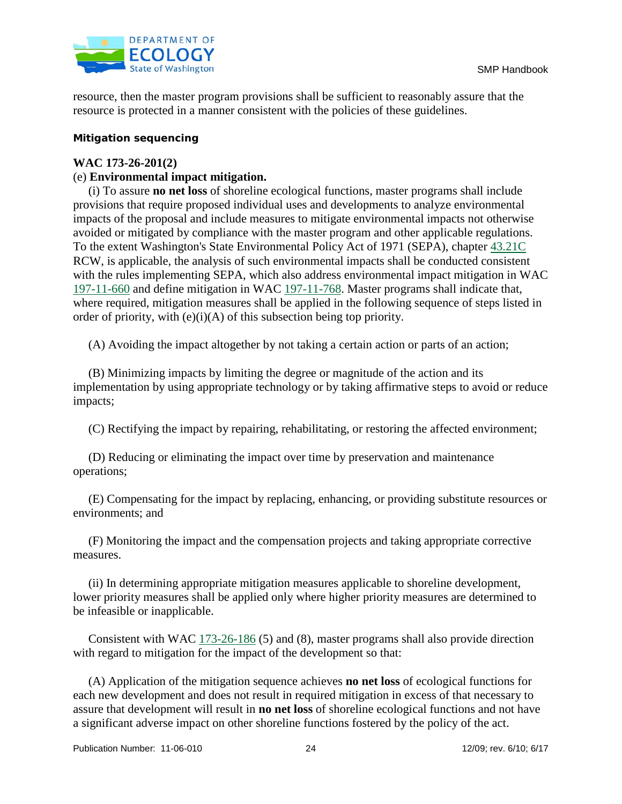

resource, then the master program provisions shall be sufficient to reasonably assure that the resource is protected in a manner consistent with the policies of these guidelines.

## **Mitigation sequencing**

## **WAC 173-26-201(2)**

## (e) **Environmental impact mitigation.**

 (i) To assure **no net loss** of shoreline ecological functions, master programs shall include provisions that require proposed individual uses and developments to analyze environmental impacts of the proposal and include measures to mitigate environmental impacts not otherwise avoided or mitigated by compliance with the master program and other applicable regulations. To the extent Washington's State Environmental Policy Act of 1971 (SEPA), chapter 43.21C RCW, is applicable, the analysis of such environmental impacts shall be conducted consistent with the rules implementing SEPA, which also address environmental impact mitigation in WAC 197-11-660 and define mitigation in WAC 197-11-768. Master programs shall indicate that, where required, mitigation measures shall be applied in the following sequence of steps listed in order of priority, with  $(e)(i)(A)$  of this subsection being top priority.

(A) Avoiding the impact altogether by not taking a certain action or parts of an action;

 (B) Minimizing impacts by limiting the degree or magnitude of the action and its implementation by using appropriate technology or by taking affirmative steps to avoid or reduce impacts;

(C) Rectifying the impact by repairing, rehabilitating, or restoring the affected environment;

 (D) Reducing or eliminating the impact over time by preservation and maintenance operations;

 (E) Compensating for the impact by replacing, enhancing, or providing substitute resources or environments; and

 (F) Monitoring the impact and the compensation projects and taking appropriate corrective measures.

 (ii) In determining appropriate mitigation measures applicable to shoreline development, lower priority measures shall be applied only where higher priority measures are determined to be infeasible or inapplicable.

 Consistent with WAC 173-26-186 (5) and (8), master programs shall also provide direction with regard to mitigation for the impact of the development so that:

 (A) Application of the mitigation sequence achieves **no net loss** of ecological functions for each new development and does not result in required mitigation in excess of that necessary to assure that development will result in **no net loss** of shoreline ecological functions and not have a significant adverse impact on other shoreline functions fostered by the policy of the act.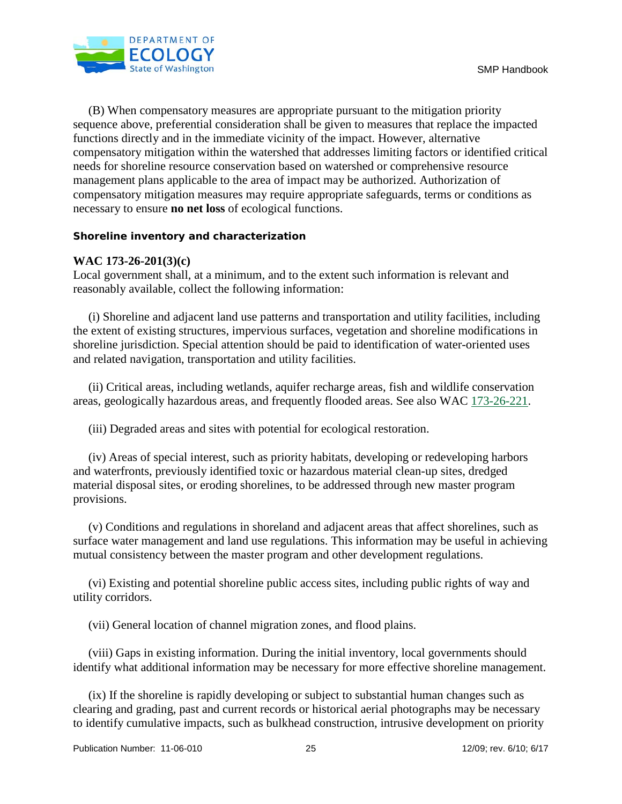

 (B) When compensatory measures are appropriate pursuant to the mitigation priority sequence above, preferential consideration shall be given to measures that replace the impacted functions directly and in the immediate vicinity of the impact. However, alternative compensatory mitigation within the watershed that addresses limiting factors or identified critical needs for shoreline resource conservation based on watershed or comprehensive resource management plans applicable to the area of impact may be authorized. Authorization of compensatory mitigation measures may require appropriate safeguards, terms or conditions as necessary to ensure **no net loss** of ecological functions.

#### **Shoreline inventory and characterization**

#### **WAC 173-26-201(3)(c)**

Local government shall, at a minimum, and to the extent such information is relevant and reasonably available, collect the following information:

 (i) Shoreline and adjacent land use patterns and transportation and utility facilities, including the extent of existing structures, impervious surfaces, vegetation and shoreline modifications in shoreline jurisdiction. Special attention should be paid to identification of water-oriented uses and related navigation, transportation and utility facilities.

 (ii) Critical areas, including wetlands, aquifer recharge areas, fish and wildlife conservation areas, geologically hazardous areas, and frequently flooded areas. See also WAC 173-26-221.

(iii) Degraded areas and sites with potential for ecological restoration.

 (iv) Areas of special interest, such as priority habitats, developing or redeveloping harbors and waterfronts, previously identified toxic or hazardous material clean-up sites, dredged material disposal sites, or eroding shorelines, to be addressed through new master program provisions.

 (v) Conditions and regulations in shoreland and adjacent areas that affect shorelines, such as surface water management and land use regulations. This information may be useful in achieving mutual consistency between the master program and other development regulations.

 (vi) Existing and potential shoreline public access sites, including public rights of way and utility corridors.

(vii) General location of channel migration zones, and flood plains.

 (viii) Gaps in existing information. During the initial inventory, local governments should identify what additional information may be necessary for more effective shoreline management.

 (ix) If the shoreline is rapidly developing or subject to substantial human changes such as clearing and grading, past and current records or historical aerial photographs may be necessary to identify cumulative impacts, such as bulkhead construction, intrusive development on priority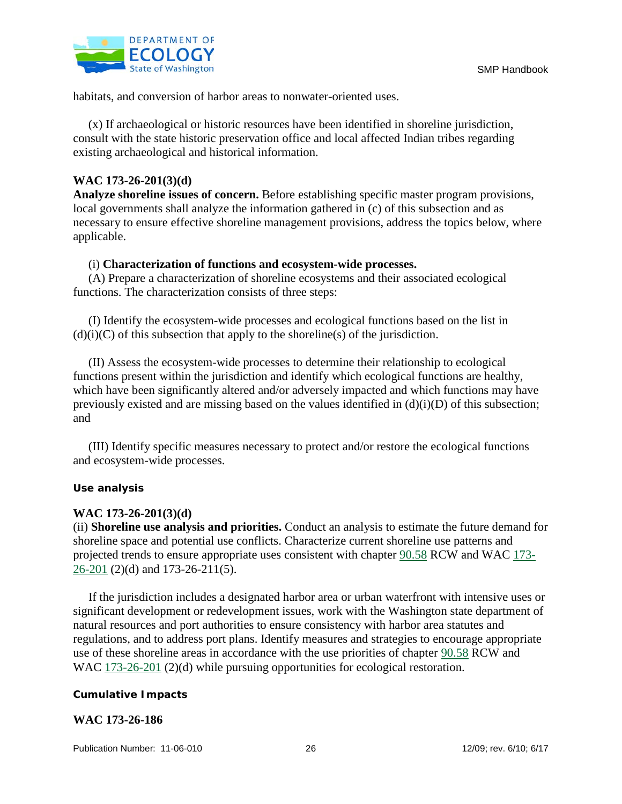

habitats, and conversion of harbor areas to nonwater-oriented uses.

 (x) If archaeological or historic resources have been identified in shoreline jurisdiction, consult with the state historic preservation office and local affected Indian tribes regarding existing archaeological and historical information.

## **WAC 173-26-201(3)(d)**

**Analyze shoreline issues of concern.** Before establishing specific master program provisions, local governments shall analyze the information gathered in (c) of this subsection and as necessary to ensure effective shoreline management provisions, address the topics below, where applicable.

## (i) **Characterization of functions and ecosystem-wide processes.**

 (A) Prepare a characterization of shoreline ecosystems and their associated ecological functions. The characterization consists of three steps:

 (I) Identify the ecosystem-wide processes and ecological functions based on the list in  $(d)(i)(C)$  of this subsection that apply to the shoreline(s) of the jurisdiction.

 (II) Assess the ecosystem-wide processes to determine their relationship to ecological functions present within the jurisdiction and identify which ecological functions are healthy, which have been significantly altered and/or adversely impacted and which functions may have previously existed and are missing based on the values identified in  $(d)(i)(D)$  of this subsection; and

 (III) Identify specific measures necessary to protect and/or restore the ecological functions and ecosystem-wide processes.

## **Use analysis**

## **WAC 173-26-201(3)(d)**

(ii) **Shoreline use analysis and priorities.** Conduct an analysis to estimate the future demand for shoreline space and potential use conflicts. Characterize current shoreline use patterns and projected trends to ensure appropriate uses consistent with chapter [90.58](http://apps.leg.wa.gov/RCW/default.aspx?cite=90.58) RCW and WAC [173-](http://apps.leg.wa.gov/WAC/default.aspx?cite=173-26-201)  $26-201$  (2)(d) and 173-26-211(5).

 If the jurisdiction includes a designated harbor area or urban waterfront with intensive uses or significant development or redevelopment issues, work with the Washington state department of natural resources and port authorities to ensure consistency with harbor area statutes and regulations, and to address port plans. Identify measures and strategies to encourage appropriate use of these shoreline areas in accordance with the use priorities of chapter 90.58 RCW and WAC 173-26-201 (2)(d) while pursuing opportunities for ecological restoration.

## **Cumulative Impacts**

## **WAC 173-26-186**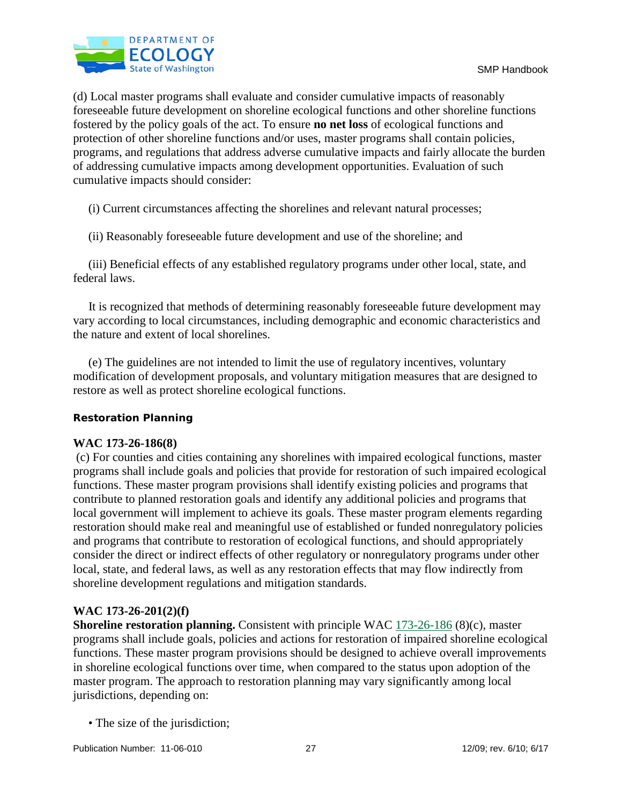

(d) Local master programs shall evaluate and consider cumulative impacts of reasonably foreseeable future development on shoreline ecological functions and other shoreline functions fostered by the policy goals of the act. To ensure **no net loss** of ecological functions and protection of other shoreline functions and/or uses, master programs shall contain policies, programs, and regulations that address adverse cumulative impacts and fairly allocate the burden of addressing cumulative impacts among development opportunities. Evaluation of such cumulative impacts should consider:

(i) Current circumstances affecting the shorelines and relevant natural processes;

(ii) Reasonably foreseeable future development and use of the shoreline; and

 (iii) Beneficial effects of any established regulatory programs under other local, state, and federal laws.

 It is recognized that methods of determining reasonably foreseeable future development may vary according to local circumstances, including demographic and economic characteristics and the nature and extent of local shorelines.

 (e) The guidelines are not intended to limit the use of regulatory incentives, voluntary modification of development proposals, and voluntary mitigation measures that are designed to restore as well as protect shoreline ecological functions.

## **Restoration Planning**

## **WAC 173-26-186(8)**

(c) For counties and cities containing any shorelines with impaired ecological functions, master programs shall include goals and policies that provide for restoration of such impaired ecological functions. These master program provisions shall identify existing policies and programs that contribute to planned restoration goals and identify any additional policies and programs that local government will implement to achieve its goals. These master program elements regarding restoration should make real and meaningful use of established or funded nonregulatory policies and programs that contribute to restoration of ecological functions, and should appropriately consider the direct or indirect effects of other regulatory or nonregulatory programs under other local, state, and federal laws, as well as any restoration effects that may flow indirectly from shoreline development regulations and mitigation standards.

## **WAC 173-26-201(2)(f)**

**Shoreline restoration planning.** Consistent with principle WAC [173-26-186](http://apps.leg.wa.gov/WAC/default.aspx?cite=173-26-186) (8)(c), master programs shall include goals, policies and actions for restoration of impaired shoreline ecological functions. These master program provisions should be designed to achieve overall improvements in shoreline ecological functions over time, when compared to the status upon adoption of the master program. The approach to restoration planning may vary significantly among local jurisdictions, depending on:

• The size of the jurisdiction;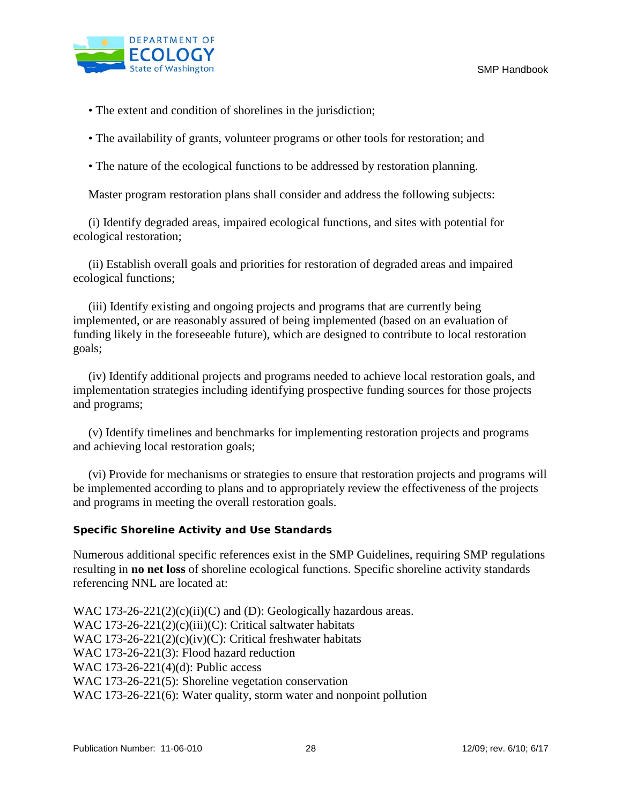

• The extent and condition of shorelines in the jurisdiction;

• The availability of grants, volunteer programs or other tools for restoration; and

• The nature of the ecological functions to be addressed by restoration planning.

Master program restoration plans shall consider and address the following subjects:

 (i) Identify degraded areas, impaired ecological functions, and sites with potential for ecological restoration;

 (ii) Establish overall goals and priorities for restoration of degraded areas and impaired ecological functions;

 (iii) Identify existing and ongoing projects and programs that are currently being implemented, or are reasonably assured of being implemented (based on an evaluation of funding likely in the foreseeable future), which are designed to contribute to local restoration goals;

 (iv) Identify additional projects and programs needed to achieve local restoration goals, and implementation strategies including identifying prospective funding sources for those projects and programs;

 (v) Identify timelines and benchmarks for implementing restoration projects and programs and achieving local restoration goals;

 (vi) Provide for mechanisms or strategies to ensure that restoration projects and programs will be implemented according to plans and to appropriately review the effectiveness of the projects and programs in meeting the overall restoration goals.

## **Specific Shoreline Activity and Use Standards**

Numerous additional specific references exist in the SMP Guidelines, requiring SMP regulations resulting in **no net loss** of shoreline ecological functions. Specific shoreline activity standards referencing NNL are located at:

WAC  $173-26-221(2)(c)(ii)(C)$  and (D): Geologically hazardous areas. WAC 173-26-221(2)(c)(iii)(C): Critical saltwater habitats WAC 173-26-221(2)(c)(iv)(C): Critical freshwater habitats WAC 173-26-221(3): Flood hazard reduction WAC 173-26-221(4)(d): Public access WAC 173-26-221(5): Shoreline vegetation conservation WAC 173-26-221(6): Water quality, storm water and nonpoint pollution